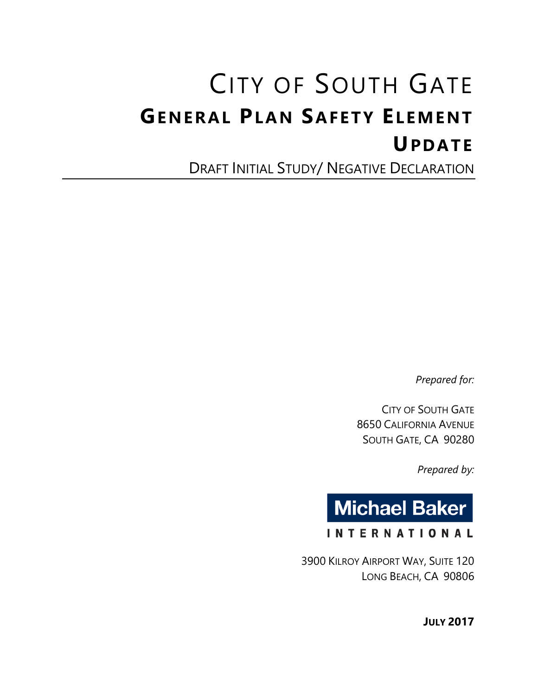# CITY OF SOUTH GATE **GENERAL PLAN SAFETY ELEMENT UPDATE**

DRAFT INITIAL STUDY/ NEGATIVE DECLARATION

*Prepared for:*

CITY OF SOUTH GATE 8650 CALIFORNIA AVENUE SOUTH GATE, CA 90280

*Prepared by:*

# **Michael Baker**

**INTERNATIONAL** 

3900 KILROY AIRPORT WAY, SUITE 120 LONG BEACH, CA 90806

**JULY 2017**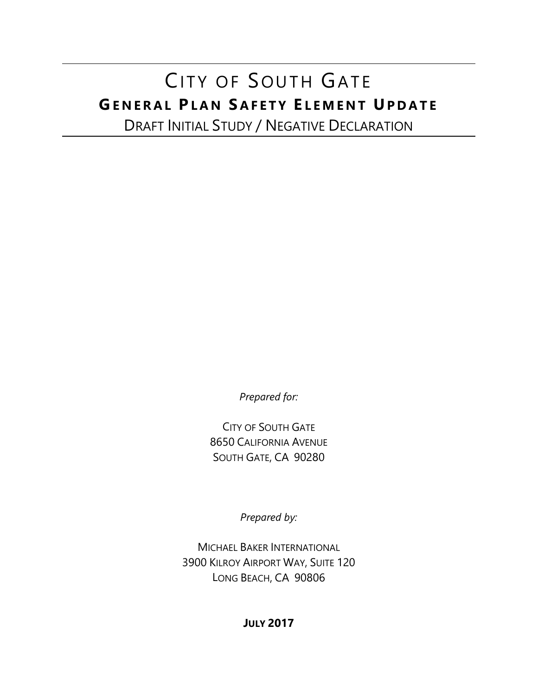# CITY OF SOUTH GATE **G ENERAL PLAN S AFETY E LEMENT UPDATE** DRAFT INITIAL STUDY / NEGATIVE DECLARATION

*Prepared for:*

CITY OF SOUTH GATE 8650 CALIFORNIA AVENUE SOUTH GATE, CA 90280

*Prepared by:*

MICHAEL BAKER INTERNATIONAL 3900 KILROY AIRPORT WAY, SUITE 120 LONG BEACH, CA 90806

**JULY 2017**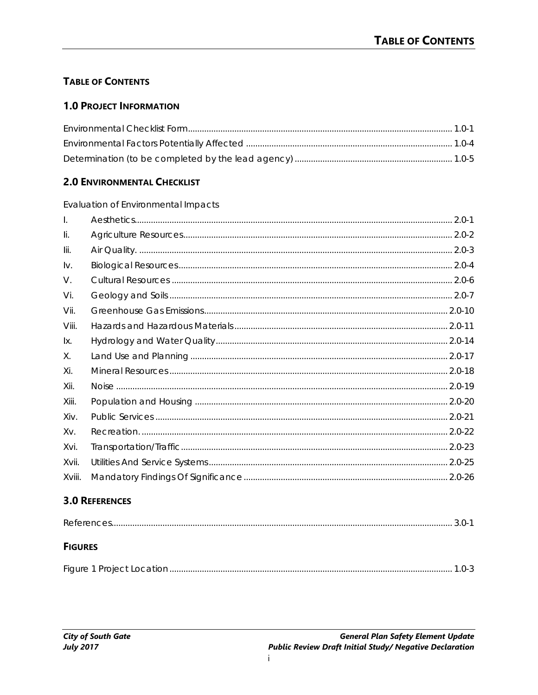# **TABLE OF CONTENTS**

## **1.0 PROJECT INFORMATION**

# **2.0 ENVIRONMENTAL CHECKLIST**

Evaluation of Environmental Impacts

| $\perp$                   |             |
|---------------------------|-------------|
| li.                       |             |
| lii.                      | $2.0 - 3$   |
| $\mathsf{I} \mathsf{v}$ . |             |
| V.                        |             |
| Vi.                       |             |
| Vii.                      |             |
| Viii.                     | $2.0 - 11$  |
| Ix.                       | . 2.0-14    |
| Χ.                        | $2.0 - 17$  |
| Xi.                       | $2.0 - 18$  |
| Xii.                      | $2.0 - 19$  |
| Xiii.                     | $2.0 - 20$  |
| Xiv.                      | $2.0 - 21$  |
| Xv.                       | $.2.0 - 22$ |
| Xvi.                      | $2.0 - 23$  |
| Xvii.                     |             |
| Xviii.                    |             |

# **3.0 REFERENCES**

|--|

## **FIGURES**

|--|--|--|--|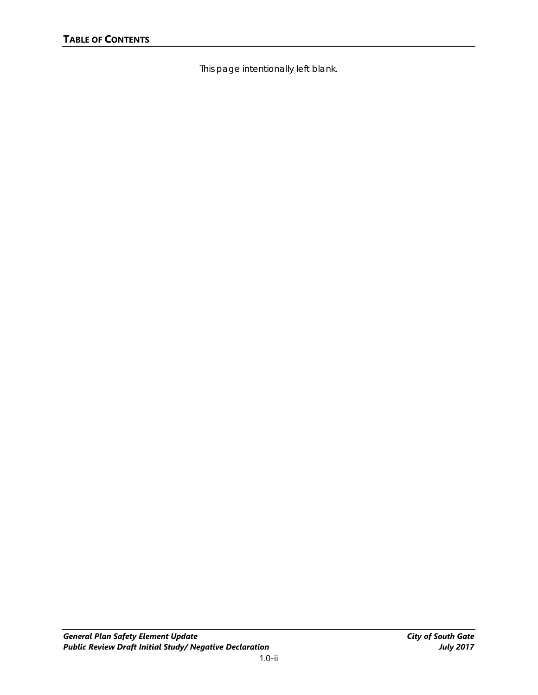This page intentionally left blank.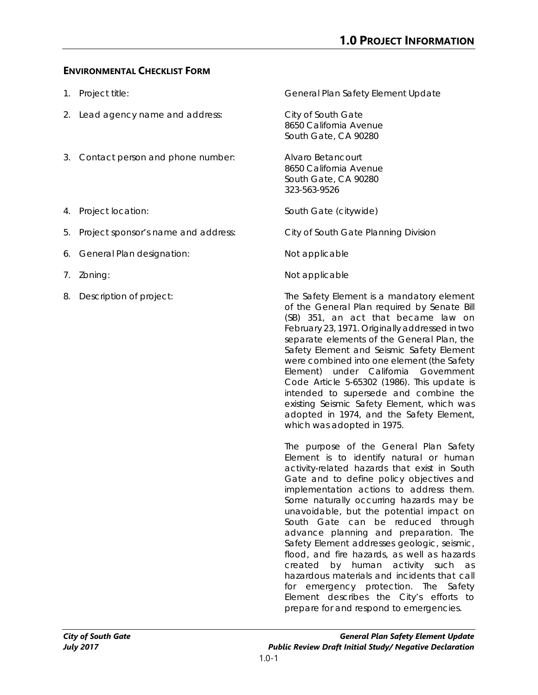#### <span id="page-6-0"></span>**ENVIRONMENTAL CHECKLIST FORM**

- 
- 2. Lead agency name and address: City of South Gate
- 3. Contact person and phone number: Alvaro Betancourt
- 
- 5. Project sponsor's name and address: City of South Gate Planning Division
- 6. General Plan designation: Not applicable
- 
- 

1. Project title: General Plan Safety Element Update

8650 California Avenue South Gate, CA 90280

8650 California Avenue South Gate, CA 90280 323-563-9526

4. Project location: South Gate (citywide)

- 
- 7. Zoning: The contract of the contract of the Not applicable

8. Description of project: The Safety Element is a mandatory element of the General Plan required by Senate Bill (SB) 351, an act that became law on February 23, 1971. Originally addressed in two separate elements of the General Plan, the Safety Element and Seismic Safety Element were combined into one element (the Safety Element) under California Government Code Article 5-65302 (1986). This update is intended to supersede and combine the existing Seismic Safety Element, which was adopted in 1974, and the Safety Element, which was adopted in 1975.

> The purpose of the General Plan Safety Element is to identify natural or human activity-related hazards that exist in South Gate and to define policy objectives and implementation actions to address them. Some naturally occurring hazards may be unavoidable, but the potential impact on South Gate can be reduced through advance planning and preparation. The Safety Element addresses geologic, seismic, flood, and fire hazards, as well as hazards created by human activity such as hazardous materials and incidents that call for emergency protection. The Safety Element describes the City's efforts to prepare for and respond to emergencies.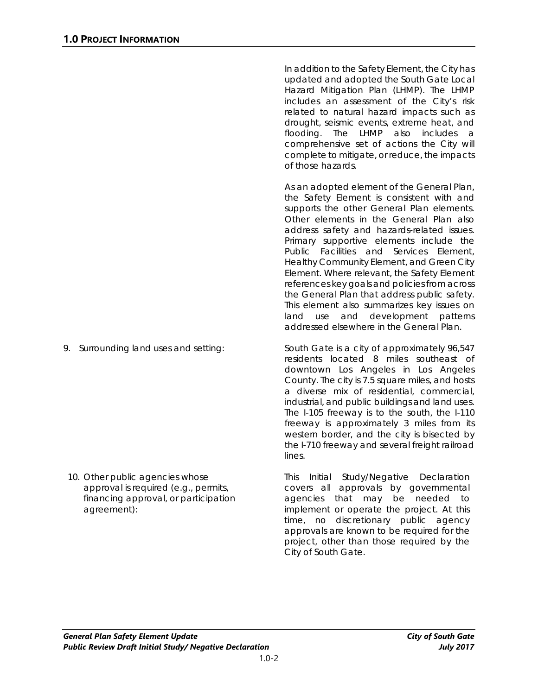10. Other public agencies whose approval is required (e.g., permits, financing approval, or participation agreement):

In addition to the Safety Element, the City has updated and adopted the South Gate Local Hazard Mitigation Plan (LHMP). The LHMP includes an assessment of the City's risk related to natural hazard impacts such as drought, seismic events, extreme heat, and flooding. The LHMP also includes a comprehensive set of actions the City will complete to mitigate, or reduce, the impacts of those hazards.

As an adopted element of the General Plan, the Safety Element is consistent with and supports the other General Plan elements. Other elements in the General Plan also address safety and hazards-related issues. Primary supportive elements include the Public Facilities and Services Element, Healthy Community Element, and Green City Element. Where relevant, the Safety Element references key goals and policies from across the General Plan that address public safety. This element also summarizes key issues on land use and development patterns addressed elsewhere in the General Plan.

9. Surrounding land uses and setting: South Gate is a city of approximately 96,547 residents located 8 miles southeast of downtown Los Angeles in Los Angeles County. The city is 7.5 square miles, and hosts a diverse mix of residential, commercial, industrial, and public buildings and land uses. The I-105 freeway is to the south, the I-110 freeway is approximately 3 miles from its western border, and the city is bisected by the I-710 freeway and several freight railroad lines.

> This Initial Study/Negative Declaration covers all approvals by governmental agencies that may be needed to implement or operate the project. At this time, no discretionary public agency approvals are known to be required for the project, other than those required by the City of South Gate.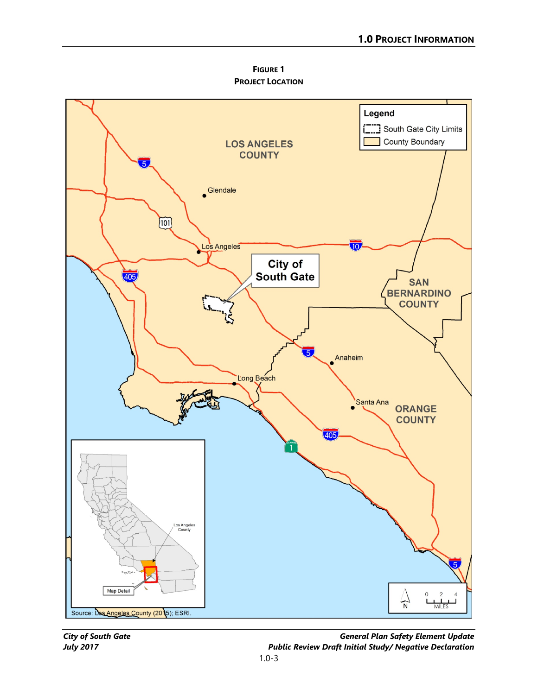**FIGURE 1 PROJECT LOCATION**

<span id="page-8-0"></span>



*City of South Gate General Plan Safety Element Update July 2017 Public Review Draft Initial Study/ Negative Declaration*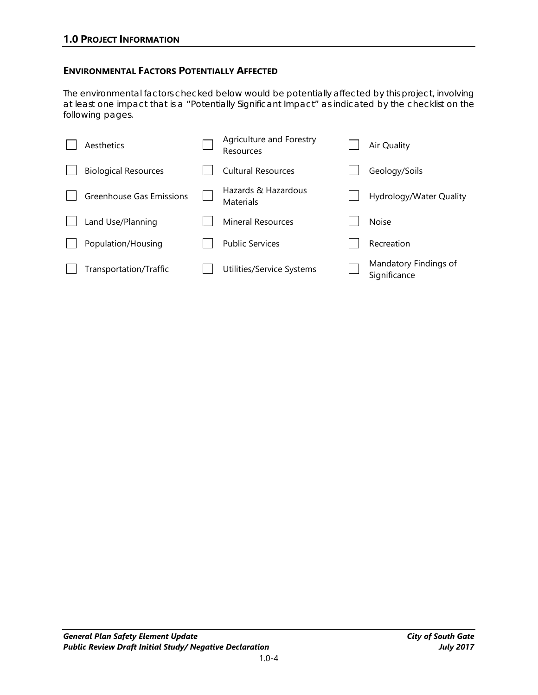#### <span id="page-9-0"></span>**ENVIRONMENTAL FACTORS POTENTIALLY AFFECTED**

The environmental factors checked below would be potentially affected by this project, involving at least one impact that is a "Potentially Significant Impact" as indicated by the checklist on the following pages.

| Aesthetics                  | Agriculture and Forestry<br>Resources | Air Quality                           |
|-----------------------------|---------------------------------------|---------------------------------------|
| <b>Biological Resources</b> | <b>Cultural Resources</b>             | Geology/Soils                         |
| Greenhouse Gas Emissions    | Hazards & Hazardous<br>Materials      | Hydrology/Water Quality               |
| Land Use/Planning           | Mineral Resources                     | <b>Noise</b>                          |
| Population/Housing          | <b>Public Services</b>                | Recreation                            |
| Transportation/Traffic      | Utilities/Service Systems             | Mandatory Findings of<br>Significance |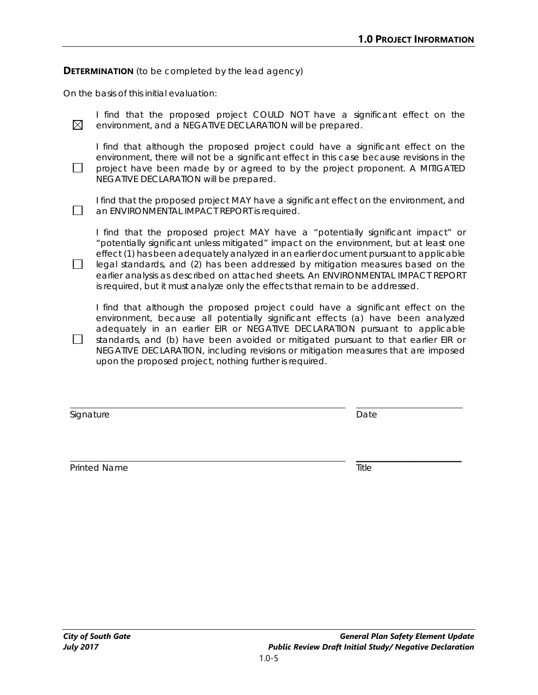<span id="page-10-0"></span>**DETERMINATION** (to be completed by the lead agency)

On the basis of this initial evaluation:

I find that the proposed project COULD NOT have a significant effect on the  $\boxtimes$ environment, and a NEGATIVE DECLARATION will be prepared.

I find that although the proposed project could have a significant effect on the environment, there will not be a significant effect in this case because revisions in the project have been made by or agreed to by the project proponent. A MITIGATED NEGATIVE DECLARATION will be prepared.

I find that the proposed project MAY have a significant effect on the environment, and an ENVIRONMENTAL IMPACT REPORT is required.

I find that the proposed project MAY have a "potentially significant impact" or "potentially significant unless mitigated" impact on the environment, but at least one effect (1) has been adequately analyzed in an earlier document pursuant to applicable legal standards, and (2) has been addressed by mitigation measures based on the earlier analysis as described on attached sheets. An ENVIRONMENTAL IMPACT REPORT is required, but it must analyze only the effects that remain to be addressed.

I find that although the proposed project could have a significant effect on the environment, because all potentially significant effects (a) have been analyzed adequately in an earlier EIR or NEGATIVE DECLARATION pursuant to applicable standards, and (b) have been avoided or mitigated pursuant to that earlier EIR or NEGATIVE DECLARATION, including revisions or mitigation measures that are imposed upon the proposed project, nothing further is required.

Signature Date

П

 $\Box$ 

 $\mathbb{R}^n$ 

 $\Box$ 

Printed Name

 $\overline{\phantom{a}}$  , where  $\overline{\phantom{a}}$  , where  $\overline{\phantom{a}}$  , where  $\overline{\phantom{a}}$ Title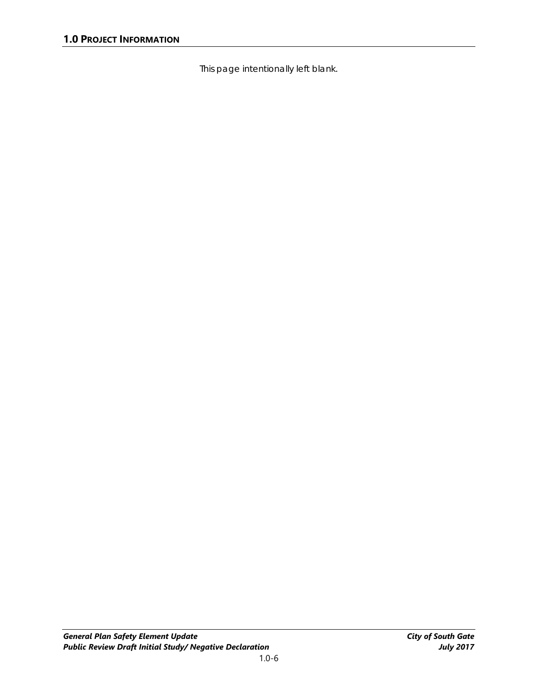This page intentionally left blank.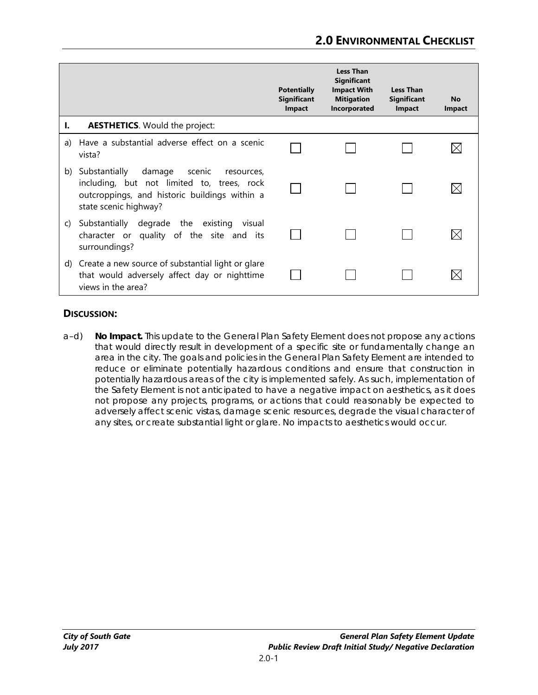|    |                                                                                                                                                                         | <b>Potentially</b><br><b>Significant</b><br><b>Impact</b> | <b>Less Than</b><br>Significant<br><b>Impact With</b><br><b>Mitigation</b><br>Incorporated | <b>Less Than</b><br><b>Significant</b><br><b>Impact</b> | No<br><b>Impact</b> |
|----|-------------------------------------------------------------------------------------------------------------------------------------------------------------------------|-----------------------------------------------------------|--------------------------------------------------------------------------------------------|---------------------------------------------------------|---------------------|
| I. | <b>AESTHETICS.</b> Would the project:                                                                                                                                   |                                                           |                                                                                            |                                                         |                     |
| a) | Have a substantial adverse effect on a scenic<br>vista?                                                                                                                 |                                                           |                                                                                            |                                                         |                     |
| b) | Substantially<br>damage<br>scenic<br>resources,<br>including, but not limited to, trees, rock<br>outcroppings, and historic buildings within a<br>state scenic highway? |                                                           |                                                                                            |                                                         |                     |
| C) | Substantially degrade the<br>existing<br>visual<br>character or quality of the site and its<br>surroundings?                                                            |                                                           |                                                                                            |                                                         |                     |
|    | d) Create a new source of substantial light or glare<br>that would adversely affect day or nighttime<br>views in the area?                                              |                                                           |                                                                                            |                                                         |                     |

a–d) **No Impact.** This update to the General Plan Safety Element does not propose any actions that would directly result in development of a specific site or fundamentally change an area in the city. The goals and policies in the General Plan Safety Element are intended to reduce or eliminate potentially hazardous conditions and ensure that construction in potentially hazardous areas of the city is implemented safely. As such, implementation of the Safety Element is not anticipated to have a negative impact on aesthetics, as it does not propose any projects, programs, or actions that could reasonably be expected to adversely affect scenic vistas, damage scenic resources, degrade the visual character of any sites, or create substantial light or glare. No impacts to aesthetics would occur.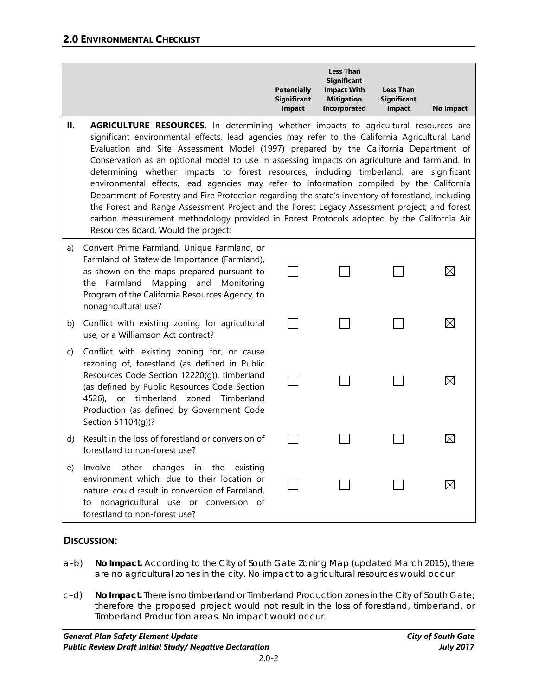|                    | <b>Less Than</b><br><b>Significant</b> |                    |                  |
|--------------------|----------------------------------------|--------------------|------------------|
| <b>Potentially</b> | <b>Impact With</b>                     | <b>Less Than</b>   |                  |
| <b>Significant</b> | <b>Mitigation</b>                      | <b>Significant</b> |                  |
| <b>Impact</b>      | Incorporated                           | <b>Impact</b>      | <b>No Impact</b> |

- **II. AGRICULTURE RESOURCES.** In determining whether impacts to agricultural resources are significant environmental effects, lead agencies may refer to the California Agricultural Land Evaluation and Site Assessment Model (1997) prepared by the California Department of Conservation as an optional model to use in assessing impacts on agriculture and farmland. In determining whether impacts to forest resources, including timberland, are significant environmental effects, lead agencies may refer to information compiled by the California Department of Forestry and Fire Protection regarding the state's inventory of forestland, including the Forest and Range Assessment Project and the Forest Legacy Assessment project; and forest carbon measurement methodology provided in Forest Protocols adopted by the California Air Resources Board. Would the project:
- a) Convert Prime Farmland, Unique Farmland, or Farmland of Statewide Importance (Farmland), as shown on the maps prepared pursuant to the Farmland Mapping and Monitoring Program of the California Resources Agency, to nonagricultural use?
- b) Conflict with existing zoning for agricultural use, or a Williamson Act contract?
- c) Conflict with existing zoning for, or cause rezoning of, forestland (as defined in Public Resources Code Section 12220(g)), timberland (as defined by Public Resources Code Section 4526), or timberland zoned Timberland Production (as defined by Government Code Section 51104(g))?
- d) Result in the loss of forestland or conversion of forestland to non-forest use?
- e) Involve other changes in the existing environment which, due to their location or nature, could result in conversion of Farmland, to nonagricultural use or conversion of forestland to non-forest use?



- a–b) **No Impact.** According to the City of South Gate Zoning Map (updated March 2015), there are no agricultural zones in the city. No impact to agricultural resources would occur.
- c–d) **No Impact.** There is no timberland or Timberland Production zones in the City of South Gate; therefore the proposed project would not result in the loss of forestland, timberland, or Timberland Production areas. No impact would occur.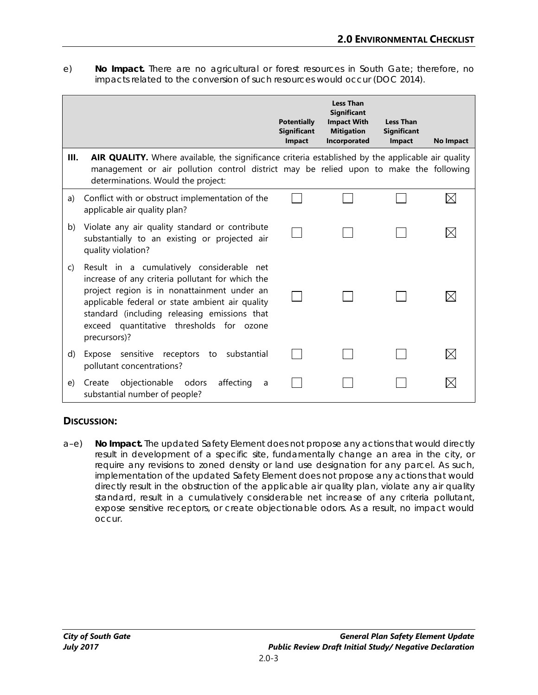e) **No Impact.** There are no agricultural or forest resources in South Gate; therefore, no impacts related to the conversion of such resources would occur (DOC 2014).

|    |                                                                                                                                                                                                                                                                                                             | <b>Potentially</b><br><b>Significant</b><br>Impact | <b>Less Than</b><br><b>Significant</b><br><b>Impact With</b><br><b>Mitigation</b><br>Incorporated | <b>Less Than</b><br><b>Significant</b><br>Impact | <b>No Impact</b> |
|----|-------------------------------------------------------------------------------------------------------------------------------------------------------------------------------------------------------------------------------------------------------------------------------------------------------------|----------------------------------------------------|---------------------------------------------------------------------------------------------------|--------------------------------------------------|------------------|
| Ш. | <b>AIR QUALITY.</b> Where available, the significance criteria established by the applicable air quality<br>management or air pollution control district may be relied upon to make the following<br>determinations. Would the project:                                                                     |                                                    |                                                                                                   |                                                  |                  |
| a) | Conflict with or obstruct implementation of the<br>applicable air quality plan?                                                                                                                                                                                                                             |                                                    |                                                                                                   |                                                  |                  |
| b) | Violate any air quality standard or contribute<br>substantially to an existing or projected air<br>quality violation?                                                                                                                                                                                       |                                                    |                                                                                                   |                                                  |                  |
| C) | Result in a cumulatively considerable net<br>increase of any criteria pollutant for which the<br>project region is in nonattainment under an<br>applicable federal or state ambient air quality<br>standard (including releasing emissions that<br>exceed quantitative thresholds for ozone<br>precursors)? |                                                    |                                                                                                   |                                                  |                  |
| d) | Expose sensitive receptors to substantial<br>pollutant concentrations?                                                                                                                                                                                                                                      |                                                    |                                                                                                   |                                                  |                  |
| e) | objectionable odors<br>affecting<br>Create<br>a<br>substantial number of people?                                                                                                                                                                                                                            |                                                    |                                                                                                   |                                                  |                  |

#### **DISCUSSION:**

a–e) **No Impact.** The updated Safety Element does not propose any actions that would directly result in development of a specific site, fundamentally change an area in the city, or require any revisions to zoned density or land use designation for any parcel. As such, implementation of the updated Safety Element does not propose any actions that would directly result in the obstruction of the applicable air quality plan, violate any air quality standard, result in a cumulatively considerable net increase of any criteria pollutant, expose sensitive receptors, or create objectionable odors. As a result, no impact would occur.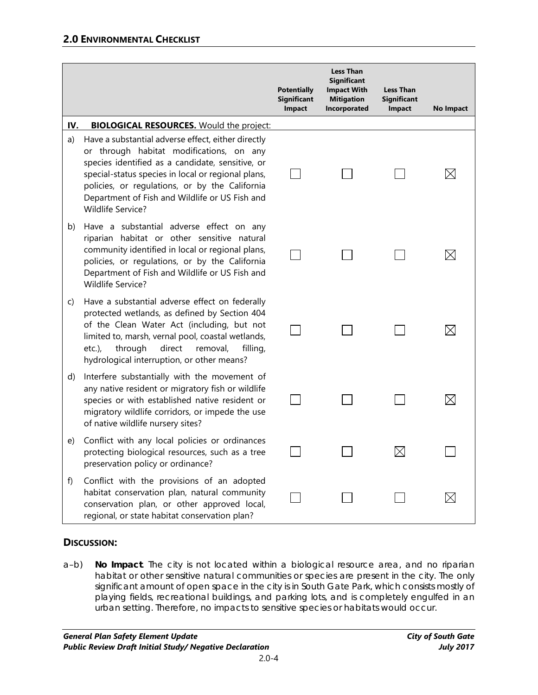|     |                                                                                                                                                                                                                                                                                                                                   | <b>Potentially</b><br><b>Significant</b><br>Impact | <b>Less Than</b><br><b>Significant</b><br><b>Impact With</b><br><b>Mitigation</b><br>Incorporated | <b>Less Than</b><br>Significant<br>Impact | <b>No Impact</b> |
|-----|-----------------------------------------------------------------------------------------------------------------------------------------------------------------------------------------------------------------------------------------------------------------------------------------------------------------------------------|----------------------------------------------------|---------------------------------------------------------------------------------------------------|-------------------------------------------|------------------|
| IV. | <b>BIOLOGICAL RESOURCES.</b> Would the project:                                                                                                                                                                                                                                                                                   |                                                    |                                                                                                   |                                           |                  |
| a)  | Have a substantial adverse effect, either directly<br>or through habitat modifications, on any<br>species identified as a candidate, sensitive, or<br>special-status species in local or regional plans,<br>policies, or regulations, or by the California<br>Department of Fish and Wildlife or US Fish and<br>Wildlife Service? |                                                    |                                                                                                   |                                           | $\boxtimes$      |
| b)  | Have a substantial adverse effect on any<br>riparian habitat or other sensitive natural<br>community identified in local or regional plans,<br>policies, or regulations, or by the California<br>Department of Fish and Wildlife or US Fish and<br>Wildlife Service?                                                              |                                                    |                                                                                                   |                                           | $\boxtimes$      |
| C)  | Have a substantial adverse effect on federally<br>protected wetlands, as defined by Section 404<br>of the Clean Water Act (including, but not<br>limited to, marsh, vernal pool, coastal wetlands,<br>through<br>direct<br>removal,<br>filling,<br>$etc.$ ),<br>hydrological interruption, or other means?                        |                                                    |                                                                                                   |                                           | $\boxtimes$      |
| d)  | Interfere substantially with the movement of<br>any native resident or migratory fish or wildlife<br>species or with established native resident or<br>migratory wildlife corridors, or impede the use<br>of native wildlife nursery sites?                                                                                       |                                                    |                                                                                                   |                                           | $\boxtimes$      |
| e)  | Conflict with any local policies or ordinances<br>protecting biological resources, such as a tree<br>preservation policy or ordinance?                                                                                                                                                                                            |                                                    |                                                                                                   | ∠∆                                        |                  |
| f)  | Conflict with the provisions of an adopted<br>habitat conservation plan, natural community<br>conservation plan, or other approved local,<br>regional, or state habitat conservation plan?                                                                                                                                        |                                                    |                                                                                                   |                                           | $\boxtimes$      |

a–b) **No Impact**. The city is not located within a biological resource area, and no riparian habitat or other sensitive natural communities or species are present in the city. The only significant amount of open space in the city is in South Gate Park, which consists mostly of playing fields, recreational buildings, and parking lots, and is completely engulfed in an urban setting. Therefore, no impacts to sensitive species or habitats would occur.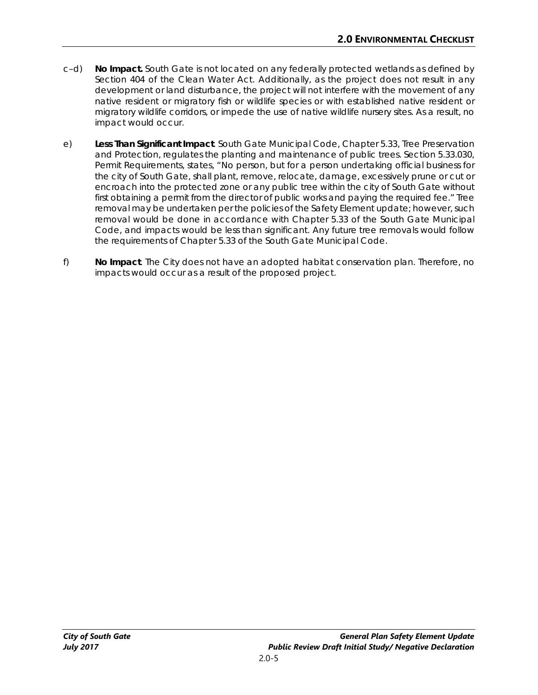- c–d) **No Impact.** South Gate is not located on any federally protected wetlands as defined by Section 404 of the Clean Water Act. Additionally, as the project does not result in any development or land disturbance, the project will not interfere with the movement of any native resident or migratory fish or wildlife species or with established native resident or migratory wildlife corridors, or impede the use of native wildlife nursery sites. As a result, no impact would occur.
- e) **Less Than Significant Impact**. South Gate Municipal Code, Chapter 5.33, Tree Preservation and Protection, regulates the planting and maintenance of public trees. Section 5.33.030, Permit Requirements, states, "No person, but for a person undertaking official business for the city of South Gate, shall plant, remove, relocate, damage, excessively prune or cut or encroach into the protected zone or any public tree within the city of South Gate without first obtaining a permit from the director of public works and paying the required fee." Tree removal may be undertaken per the policies of the Safety Element update; however, such removal would be done in accordance with Chapter 5.33 of the South Gate Municipal Code, and impacts would be less than significant. Any future tree removals would follow the requirements of Chapter 5.33 of the South Gate Municipal Code.
- f) **No Impact**. The City does not have an adopted habitat conservation plan. Therefore, no impacts would occur as a result of the proposed project.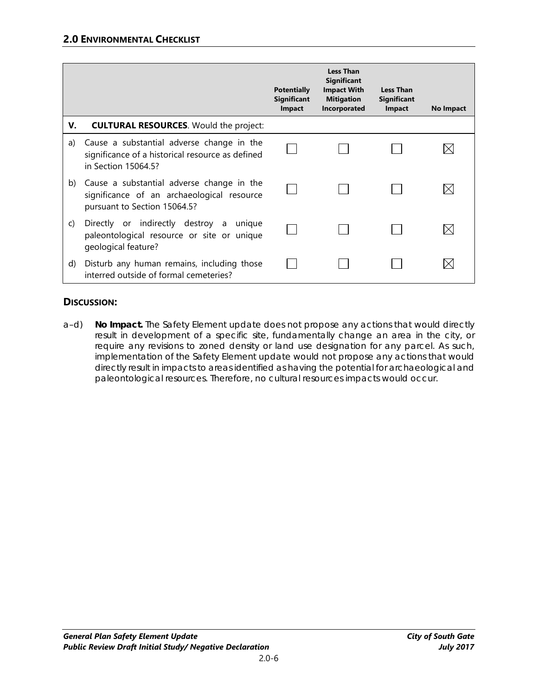|    |                                                                                                                         | <b>Potentially</b><br><b>Significant</b><br><b>Impact</b> | <b>Less Than</b><br><b>Significant</b><br><b>Impact With</b><br><b>Mitigation</b><br>Incorporated | <b>Less Than</b><br><b>Significant</b><br>Impact | No Impact |
|----|-------------------------------------------------------------------------------------------------------------------------|-----------------------------------------------------------|---------------------------------------------------------------------------------------------------|--------------------------------------------------|-----------|
| V. | <b>CULTURAL RESOURCES.</b> Would the project:                                                                           |                                                           |                                                                                                   |                                                  |           |
| a) | Cause a substantial adverse change in the<br>significance of a historical resource as defined<br>in Section 15064.5?    |                                                           |                                                                                                   |                                                  |           |
| b) | Cause a substantial adverse change in the<br>significance of an archaeological resource<br>pursuant to Section 15064.5? |                                                           |                                                                                                   |                                                  |           |
| C) | Directly or indirectly destroy a unique<br>paleontological resource or site or unique<br>geological feature?            |                                                           |                                                                                                   |                                                  |           |
| d) | Disturb any human remains, including those<br>interred outside of formal cemeteries?                                    |                                                           |                                                                                                   |                                                  |           |

a–d) **No Impact.** The Safety Element update does not propose any actions that would directly result in development of a specific site, fundamentally change an area in the city, or require any revisions to zoned density or land use designation for any parcel. As such, implementation of the Safety Element update would not propose any actions that would directly result in impacts to areas identified as having the potential for archaeological and paleontological resources. Therefore, no cultural resources impacts would occur.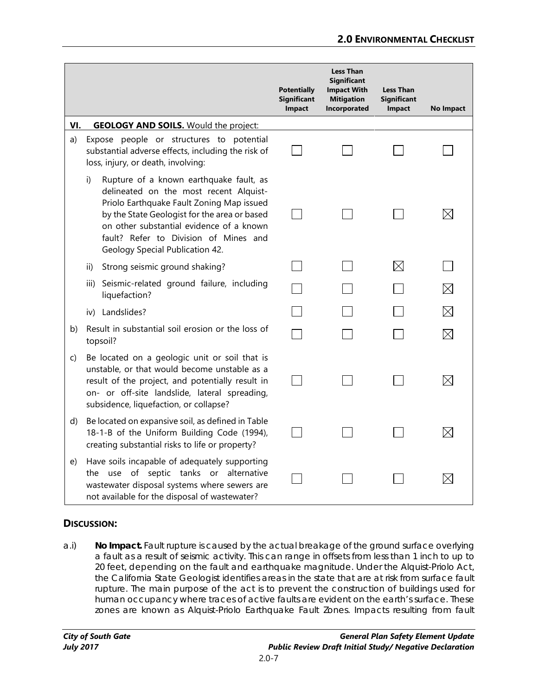|              |                                                                                                                                                                                                                                                                                                              | <b>Potentially</b><br><b>Significant</b><br>Impact | <b>Less Than</b><br><b>Significant</b><br><b>Impact With</b><br><b>Mitigation</b><br>Incorporated | <b>Less Than</b><br><b>Significant</b><br>Impact | No Impact |
|--------------|--------------------------------------------------------------------------------------------------------------------------------------------------------------------------------------------------------------------------------------------------------------------------------------------------------------|----------------------------------------------------|---------------------------------------------------------------------------------------------------|--------------------------------------------------|-----------|
| VI.          | <b>GEOLOGY AND SOILS.</b> Would the project:                                                                                                                                                                                                                                                                 |                                                    |                                                                                                   |                                                  |           |
| a)           | Expose people or structures to potential<br>substantial adverse effects, including the risk of<br>loss, injury, or death, involving:                                                                                                                                                                         |                                                    |                                                                                                   |                                                  |           |
|              | Rupture of a known earthquake fault, as<br>i)<br>delineated on the most recent Alquist-<br>Priolo Earthquake Fault Zoning Map issued<br>by the State Geologist for the area or based<br>on other substantial evidence of a known<br>fault? Refer to Division of Mines and<br>Geology Special Publication 42. |                                                    |                                                                                                   |                                                  | $\times$  |
|              | Strong seismic ground shaking?<br>ii)                                                                                                                                                                                                                                                                        |                                                    |                                                                                                   | $\boxtimes$                                      |           |
|              | iii) Seismic-related ground failure, including<br>liquefaction?                                                                                                                                                                                                                                              |                                                    |                                                                                                   |                                                  |           |
|              | iv) Landslides?                                                                                                                                                                                                                                                                                              |                                                    |                                                                                                   |                                                  |           |
| b)           | Result in substantial soil erosion or the loss of<br>topsoil?                                                                                                                                                                                                                                                |                                                    |                                                                                                   |                                                  | $\times$  |
| $\mathsf{C}$ | Be located on a geologic unit or soil that is<br>unstable, or that would become unstable as a<br>result of the project, and potentially result in<br>on- or off-site landslide, lateral spreading,<br>subsidence, liquefaction, or collapse?                                                                 |                                                    |                                                                                                   |                                                  | $\times$  |
| d)           | Be located on expansive soil, as defined in Table<br>18-1-B of the Uniform Building Code (1994),<br>creating substantial risks to life or property?                                                                                                                                                          |                                                    |                                                                                                   |                                                  | $\times$  |
| e)           | Have soils incapable of adequately supporting<br>the use of septic tanks or alternative<br>wastewater disposal systems where sewers are<br>not available for the disposal of wastewater?                                                                                                                     |                                                    |                                                                                                   |                                                  | $\times$  |

a.i) **No Impact.** Fault rupture is caused by the actual breakage of the ground surface overlying a fault as a result of seismic activity. This can range in offsets from less than 1 inch to up to 20 feet, depending on the fault and earthquake magnitude. Under the Alquist-Priolo Act, the California State Geologist identifies areas in the state that are at risk from surface fault rupture. The main purpose of the act is to prevent the construction of buildings used for human occupancy where traces of active faults are evident on the earth's surface. These zones are known as Alquist-Priolo Earthquake Fault Zones. Impacts resulting from fault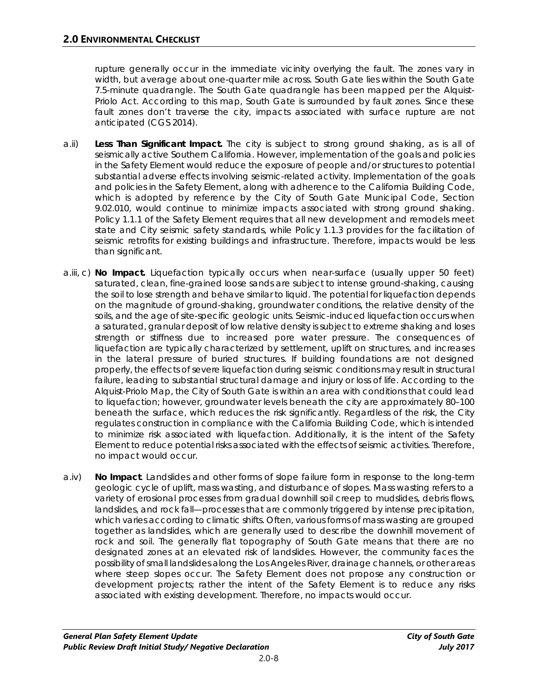rupture generally occur in the immediate vicinity overlying the fault. The zones vary in width, but average about one-quarter mile across. South Gate lies within the South Gate 7.5-minute quadrangle. The South Gate quadrangle has been mapped per the Alquist-Priolo Act. According to this map, South Gate is surrounded by fault zones. Since these fault zones don't traverse the city, impacts associated with surface rupture are not anticipated (CGS 2014).

- a.ii) **Less Than Significant Impact.** The city is subject to strong ground shaking, as is all of seismically active Southern California. However, implementation of the goals and policies in the Safety Element would reduce the exposure of people and/or structures to potential substantial adverse effects involving seismic-related activity. Implementation of the goals and policies in the Safety Element, along with adherence to the California Building Code, which is adopted by reference by the City of South Gate Municipal Code, Section 9.02.010, would continue to minimize impacts associated with strong ground shaking. Policy 1.1.1 of the Safety Element requires that all new development and remodels meet state and City seismic safety standards, while Policy 1.1.3 provides for the facilitation of seismic retrofits for existing buildings and infrastructure. Therefore, impacts would be less than significant.
- a.iii, c) **No Impact.** Liquefaction typically occurs when near-surface (usually upper 50 feet) saturated, clean, fine-grained loose sands are subject to intense ground-shaking, causing the soil to lose strength and behave similar to liquid. The potential for liquefaction depends on the magnitude of ground-shaking, groundwater conditions, the relative density of the soils, and the age of site-specific geologic units. Seismic-induced liquefaction occurs when a saturated, granular deposit of low relative density is subject to extreme shaking and loses strength or stiffness due to increased pore water pressure. The consequences of liquefaction are typically characterized by settlement, uplift on structures, and increases in the lateral pressure of buried structures. If building foundations are not designed properly, the effects of severe liquefaction during seismic conditions may result in structural failure, leading to substantial structural damage and injury or loss of life. According to the Alquist-Priolo Map, the City of South Gate is within an area with conditions that could lead to liquefaction; however, groundwater levels beneath the city are approximately 80–100 beneath the surface, which reduces the risk significantly. Regardless of the risk, the City regulates construction in compliance with the California Building Code, which is intended to minimize risk associated with liquefaction. Additionally, it is the intent of the Safety Element to reduce potential risks associated with the effects of seismic activities. Therefore, no impact would occur.
- a.iv) **No Impact**. Landslides and other forms of slope failure form in response to the long-term geologic cycle of uplift, mass wasting, and disturbance of slopes. Mass wasting refers to a variety of erosional processes from gradual downhill soil creep to mudslides, debris flows, landslides, and rock fall—processes that are commonly triggered by intense precipitation, which varies according to climatic shifts. Often, various forms of mass wasting are grouped together as landslides, which are generally used to describe the downhill movement of rock and soil. The generally flat topography of South Gate means that there are no designated zones at an elevated risk of landslides. However, the community faces the possibility of small landslides along the Los Angeles River, drainage channels, or other areas where steep slopes occur. The Safety Element does not propose any construction or development projects; rather the intent of the Safety Element is to reduce any risks associated with existing development. Therefore, no impacts would occur.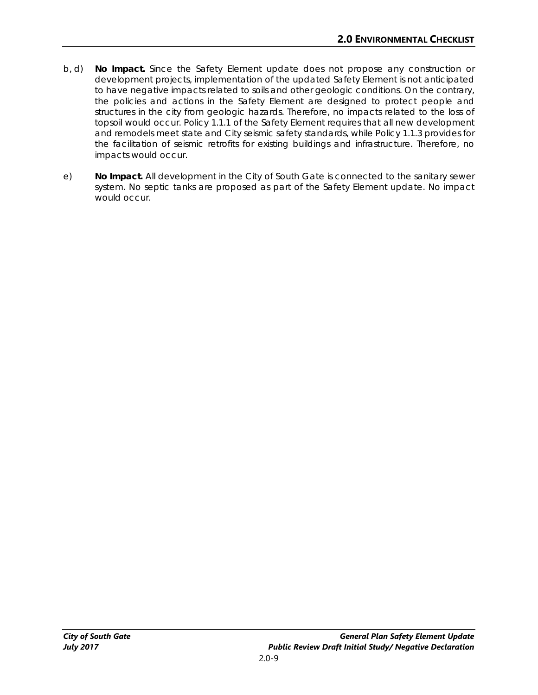- b, d) **No Impact.** Since the Safety Element update does not propose any construction or development projects, implementation of the updated Safety Element is not anticipated to have negative impacts related to soils and other geologic conditions. On the contrary, the policies and actions in the Safety Element are designed to protect people and structures in the city from geologic hazards. Therefore, no impacts related to the loss of topsoil would occur. Policy 1.1.1 of the Safety Element requires that all new development and remodels meet state and City seismic safety standards, while Policy 1.1.3 provides for the facilitation of seismic retrofits for existing buildings and infrastructure. Therefore, no impacts would occur.
- e) **No Impact.** All development in the City of South Gate is connected to the sanitary sewer system. No septic tanks are proposed as part of the Safety Element update. No impact would occur.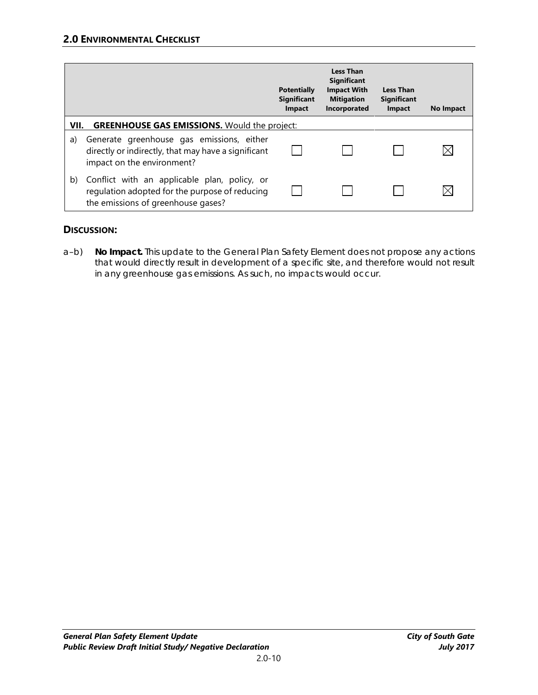|      |                                                                                                                                      | <b>Potentially</b><br><b>Significant</b><br>Impact | <b>Less Than</b><br><b>Significant</b><br><b>Impact With</b><br><b>Mitigation</b><br>Incorporated | Less Than<br><b>Significant</b><br>Impact | No Impact |
|------|--------------------------------------------------------------------------------------------------------------------------------------|----------------------------------------------------|---------------------------------------------------------------------------------------------------|-------------------------------------------|-----------|
| VII. | <b>GREENHOUSE GAS EMISSIONS.</b> Would the project:                                                                                  |                                                    |                                                                                                   |                                           |           |
| a)   | Generate greenhouse gas emissions, either<br>directly or indirectly, that may have a significant<br>impact on the environment?       |                                                    |                                                                                                   |                                           |           |
| b)   | Conflict with an applicable plan, policy, or<br>regulation adopted for the purpose of reducing<br>the emissions of greenhouse gases? |                                                    |                                                                                                   |                                           |           |

a–b) **No Impact.** This update to the General Plan Safety Element does not propose any actions that would directly result in development of a specific site, and therefore would not result in any greenhouse gas emissions. As such, no impacts would occur.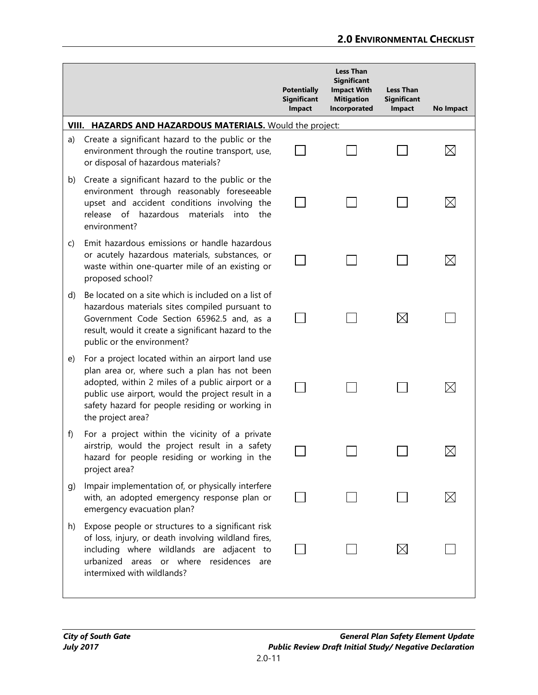|    |                                                                                                                                                                                                                                                                                   | <b>Potentially</b><br>Significant<br>Impact | <b>Less Than</b><br><b>Significant</b><br><b>Impact With</b><br><b>Mitigation</b><br>Incorporated | <b>Less Than</b><br>Significant<br>Impact | <b>No Impact</b> |
|----|-----------------------------------------------------------------------------------------------------------------------------------------------------------------------------------------------------------------------------------------------------------------------------------|---------------------------------------------|---------------------------------------------------------------------------------------------------|-------------------------------------------|------------------|
|    | VIII. HAZARDS AND HAZARDOUS MATERIALS. Would the project:                                                                                                                                                                                                                         |                                             |                                                                                                   |                                           |                  |
| a) | Create a significant hazard to the public or the<br>environment through the routine transport, use,<br>or disposal of hazardous materials?                                                                                                                                        |                                             |                                                                                                   |                                           | $\boxtimes$      |
| b) | Create a significant hazard to the public or the<br>environment through reasonably foreseeable<br>upset and accident conditions involving the<br>of<br>hazardous<br>release<br>materials<br>into<br>the<br>environment?                                                           |                                             |                                                                                                   |                                           | $\boxtimes$      |
| C) | Emit hazardous emissions or handle hazardous<br>or acutely hazardous materials, substances, or<br>waste within one-quarter mile of an existing or<br>proposed school?                                                                                                             |                                             |                                                                                                   |                                           | $\boxtimes$      |
| d) | Be located on a site which is included on a list of<br>hazardous materials sites compiled pursuant to<br>Government Code Section 65962.5 and, as a<br>result, would it create a significant hazard to the<br>public or the environment?                                           |                                             |                                                                                                   | $\boxtimes$                               |                  |
| e) | For a project located within an airport land use<br>plan area or, where such a plan has not been<br>adopted, within 2 miles of a public airport or a<br>public use airport, would the project result in a<br>safety hazard for people residing or working in<br>the project area? |                                             |                                                                                                   |                                           | $\boxtimes$      |
| f) | For a project within the vicinity of a private<br>airstrip, would the project result in a safety<br>hazard for people residing or working in the<br>project area?                                                                                                                 |                                             |                                                                                                   |                                           | $\boxtimes$      |
| g) | Impair implementation of, or physically interfere<br>with, an adopted emergency response plan or<br>emergency evacuation plan?                                                                                                                                                    |                                             |                                                                                                   |                                           | $\boxtimes$      |
| h) | Expose people or structures to a significant risk<br>of loss, injury, or death involving wildland fires,<br>including where wildlands are adjacent to<br>urbanized areas or where residences are<br>intermixed with wildlands?                                                    |                                             |                                                                                                   | M                                         |                  |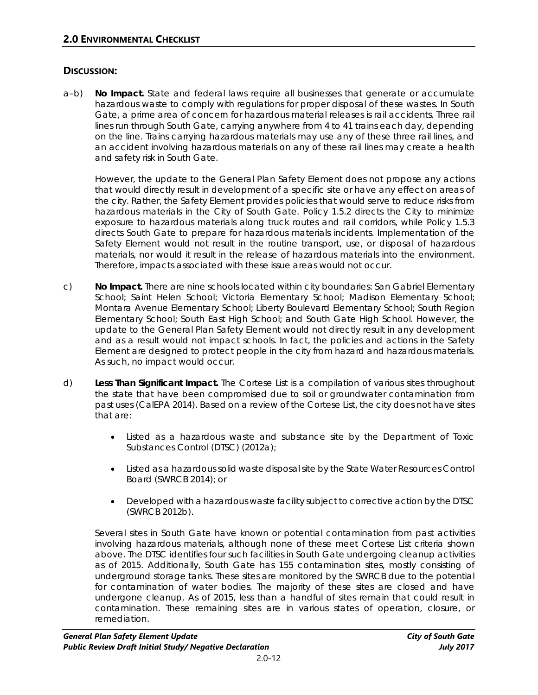a–b) **No Impact.** State and federal laws require all businesses that generate or accumulate hazardous waste to comply with regulations for proper disposal of these wastes. In South Gate, a prime area of concern for hazardous material releases is rail accidents. Three rail lines run through South Gate, carrying anywhere from 4 to 41 trains each day, depending on the line. Trains carrying hazardous materials may use any of these three rail lines, and an accident involving hazardous materials on any of these rail lines may create a health and safety risk in South Gate.

However, the update to the General Plan Safety Element does not propose any actions that would directly result in development of a specific site or have any effect on areas of the city. Rather, the Safety Element provides policies that would serve to reduce risks from hazardous materials in the City of South Gate. Policy 1.5.2 directs the City to minimize exposure to hazardous materials along truck routes and rail corridors, while Policy 1.5.3 directs South Gate to prepare for hazardous materials incidents. Implementation of the Safety Element would not result in the routine transport, use, or disposal of hazardous materials, nor would it result in the release of hazardous materials into the environment. Therefore, impacts associated with these issue areas would not occur.

- c) **No Impact.** There are nine schools located within city boundaries: San Gabriel Elementary School; Saint Helen School; Victoria Elementary School; Madison Elementary School; Montara Avenue Elementary School; Liberty Boulevard Elementary School; South Region Elementary School; South East High School; and South Gate High School. However, the update to the General Plan Safety Element would not directly result in any development and as a result would not impact schools. In fact, the policies and actions in the Safety Element are designed to protect people in the city from hazard and hazardous materials. As such, no impact would occur.
- d) **Less Than Significant Impact.** The Cortese List is a compilation of various sites throughout the state that have been compromised due to soil or groundwater contamination from past uses (CalEPA 2014). Based on a review of the Cortese List, the city does not have sites that are:
	- Listed as a hazardous waste and substance site by the Department of Toxic Substances Control (DTSC) (2012a);
	- Listed as a hazardous solid waste disposal site by the State Water Resources Control Board (SWRCB 2014); or
	- Developed with a hazardous waste facility subject to corrective action by the DTSC (SWRCB 2012b).

Several sites in South Gate have known or potential contamination from past activities involving hazardous materials, although none of these meet Cortese List criteria shown above. The DTSC identifies four such facilities in South Gate undergoing cleanup activities as of 2015. Additionally, South Gate has 155 contamination sites, mostly consisting of underground storage tanks. These sites are monitored by the SWRCB due to the potential for contamination of water bodies. The majority of these sites are closed and have undergone cleanup. As of 2015, less than a handful of sites remain that could result in contamination. These remaining sites are in various states of operation, closure, or remediation.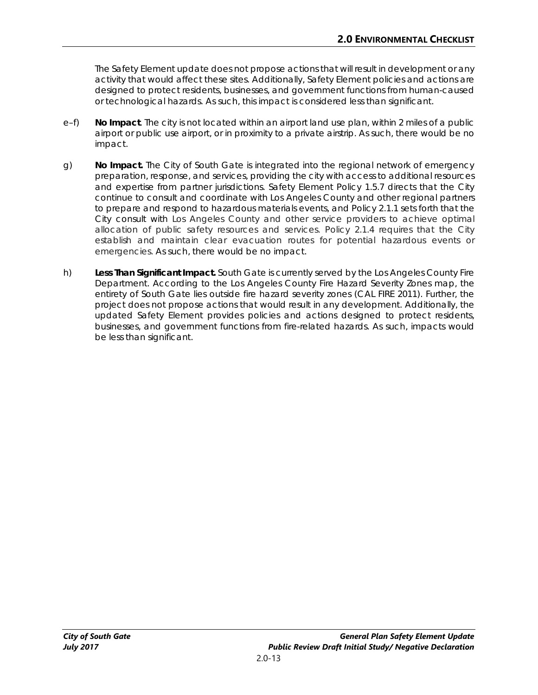The Safety Element update does not propose actions that will result in development or any activity that would affect these sites. Additionally, Safety Element policies and actions are designed to protect residents, businesses, and government functions from human-caused or technological hazards. As such, this impact is considered less than significant.

- e–f) **No Impact**. The city is not located within an airport land use plan, within 2 miles of a public airport or public use airport, or in proximity to a private airstrip. As such, there would be no impact.
- g) **No Impact.** The City of South Gate is integrated into the regional network of emergency preparation, response, and services, providing the city with access to additional resources and expertise from partner jurisdictions. Safety Element Policy 1.5.7 directs that the City continue to consult and coordinate with Los Angeles County and other regional partners to prepare and respond to hazardous materials events, and Policy 2.1.1 sets forth that the City consult with Los Angeles County and other service providers to achieve optimal allocation of public safety resources and services. Policy 2.1.4 requires that the City establish and maintain clear evacuation routes for potential hazardous events or emergencies. As such, there would be no impact.
- h) **Less Than Significant Impact.** South Gate is currently served by the Los Angeles County Fire Department. According to the Los Angeles County Fire Hazard Severity Zones map, the entirety of South Gate lies outside fire hazard severity zones (CAL FIRE 2011). Further, the project does not propose actions that would result in any development. Additionally, the updated Safety Element provides policies and actions designed to protect residents, businesses, and government functions from fire-related hazards. As such, impacts would be less than significant.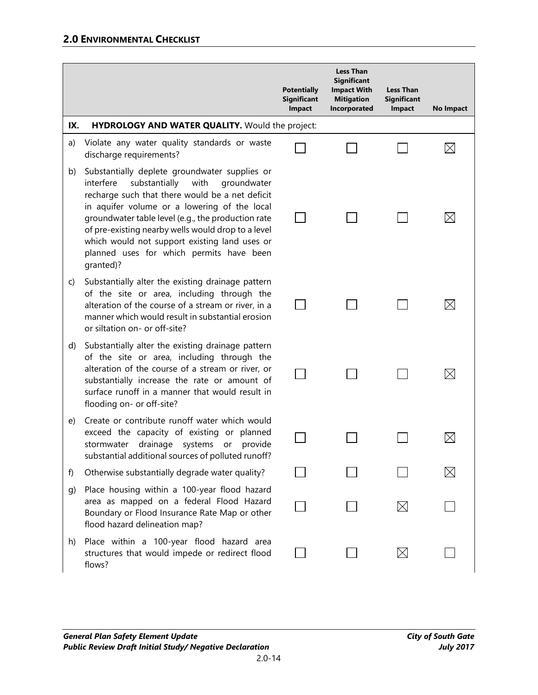|     |                                                                                                                                                                                                                                                                                                                                                                                                                             | <b>Potentially</b><br>Significant<br>Impact | <b>Less Than</b><br><b>Significant</b><br><b>Impact With</b><br><b>Mitigation</b><br>Incorporated | <b>Less Than</b><br>Significant<br>Impact | <b>No Impact</b> |
|-----|-----------------------------------------------------------------------------------------------------------------------------------------------------------------------------------------------------------------------------------------------------------------------------------------------------------------------------------------------------------------------------------------------------------------------------|---------------------------------------------|---------------------------------------------------------------------------------------------------|-------------------------------------------|------------------|
| IX. | <b>HYDROLOGY AND WATER QUALITY.</b> Would the project:                                                                                                                                                                                                                                                                                                                                                                      |                                             |                                                                                                   |                                           |                  |
| a)  | Violate any water quality standards or waste<br>discharge requirements?                                                                                                                                                                                                                                                                                                                                                     |                                             |                                                                                                   |                                           | $\boxtimes$      |
| b)  | Substantially deplete groundwater supplies or<br>interfere<br>substantially<br>with<br>groundwater<br>recharge such that there would be a net deficit<br>in aquifer volume or a lowering of the local<br>groundwater table level (e.g., the production rate<br>of pre-existing nearby wells would drop to a level<br>which would not support existing land uses or<br>planned uses for which permits have been<br>qranted)? |                                             |                                                                                                   |                                           |                  |
| C)  | Substantially alter the existing drainage pattern<br>of the site or area, including through the<br>alteration of the course of a stream or river, in a<br>manner which would result in substantial erosion<br>or siltation on- or off-site?                                                                                                                                                                                 |                                             |                                                                                                   |                                           | IХ               |
| d)  | Substantially alter the existing drainage pattern<br>of the site or area, including through the<br>alteration of the course of a stream or river, or<br>substantially increase the rate or amount of<br>surface runoff in a manner that would result in<br>flooding on- or off-site?                                                                                                                                        |                                             |                                                                                                   |                                           |                  |
| e)  | Create or contribute runoff water which would<br>exceed the capacity of existing or planned<br>drainage<br>systems<br>provide<br>stormwater<br>or<br>substantial additional sources of polluted runoff?                                                                                                                                                                                                                     |                                             |                                                                                                   |                                           |                  |
| f)  | Otherwise substantially degrade water quality?                                                                                                                                                                                                                                                                                                                                                                              |                                             |                                                                                                   |                                           |                  |
| g)  | Place housing within a 100-year flood hazard<br>area as mapped on a federal Flood Hazard<br>Boundary or Flood Insurance Rate Map or other<br>flood hazard delineation map?                                                                                                                                                                                                                                                  |                                             |                                                                                                   | $\boxtimes$                               |                  |
| h)  | Place within a 100-year flood hazard area<br>structures that would impede or redirect flood<br>flows?                                                                                                                                                                                                                                                                                                                       |                                             |                                                                                                   | $\boxtimes$                               |                  |
|     |                                                                                                                                                                                                                                                                                                                                                                                                                             |                                             |                                                                                                   |                                           |                  |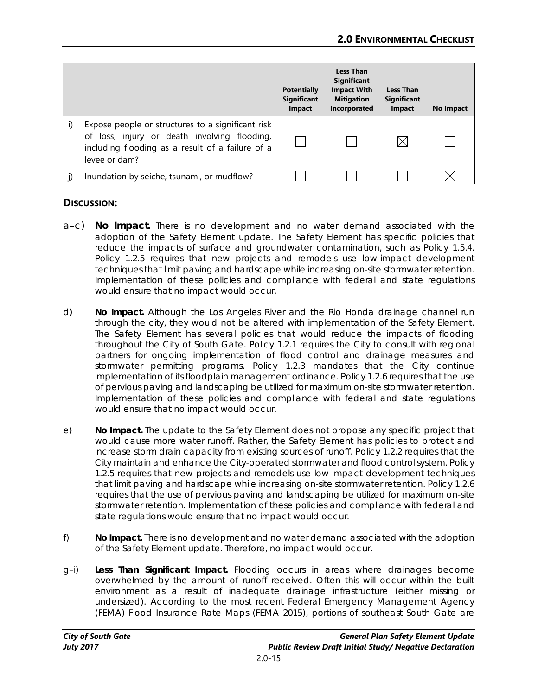|    |                                                                                                                                                                        | <b>Potentially</b><br><b>Significant</b><br>Impact | <b>Less Than</b><br><b>Significant</b><br><b>Impact With</b><br><b>Mitigation</b><br>Incorporated | <b>Less Than</b><br><b>Significant</b><br><b>Impact</b> | No Impact |
|----|------------------------------------------------------------------------------------------------------------------------------------------------------------------------|----------------------------------------------------|---------------------------------------------------------------------------------------------------|---------------------------------------------------------|-----------|
| i) | Expose people or structures to a significant risk<br>of loss, injury or death involving flooding,<br>including flooding as a result of a failure of a<br>levee or dam? |                                                    |                                                                                                   |                                                         |           |
|    | Inundation by seiche, tsunami, or mudflow?                                                                                                                             |                                                    |                                                                                                   |                                                         |           |

- a–c) **No Impact.** There is no development and no water demand associated with the adoption of the Safety Element update. The Safety Element has specific policies that reduce the impacts of surface and groundwater contamination, such as Policy 1.5.4. Policy 1.2.5 requires that new projects and remodels use low-impact development techniques that limit paving and hardscape while increasing on-site stormwater retention. Implementation of these policies and compliance with federal and state regulations would ensure that no impact would occur.
- d) **No Impact.** Although the Los Angeles River and the Rio Honda drainage channel run through the city, they would not be altered with implementation of the Safety Element. The Safety Element has several policies that would reduce the impacts of flooding throughout the City of South Gate. Policy 1.2.1 requires the City to consult with regional partners for ongoing implementation of flood control and drainage measures and stormwater permitting programs. Policy 1.2.3 mandates that the City continue implementation of its floodplain management ordinance. Policy 1.2.6 requires that the use of pervious paving and landscaping be utilized for maximum on-site stormwater retention. Implementation of these policies and compliance with federal and state regulations would ensure that no impact would occur.
- e) **No Impact.** The update to the Safety Element does not propose any specific project that would cause more water runoff. Rather, the Safety Element has policies to protect and increase storm drain capacity from existing sources of runoff. Policy 1.2.2 requires that the City maintain and enhance the City-operated stormwater and flood control system. Policy 1.2.5 requires that new projects and remodels use low-impact development techniques that limit paving and hardscape while increasing on-site stormwater retention. Policy 1.2.6 requires that the use of pervious paving and landscaping be utilized for maximum on-site stormwater retention. Implementation of these policies and compliance with federal and state regulations would ensure that no impact would occur.
- f) **No Impact.** There is no development and no water demand associated with the adoption of the Safety Element update. Therefore, no impact would occur.
- g–i) **Less Than Significant Impact.** Flooding occurs in areas where drainages become overwhelmed by the amount of runoff received. Often this will occur within the built environment as a result of inadequate drainage infrastructure (either missing or undersized). According to the most recent Federal Emergency Management Agency (FEMA) Flood Insurance Rate Maps (FEMA 2015), portions of southeast South Gate are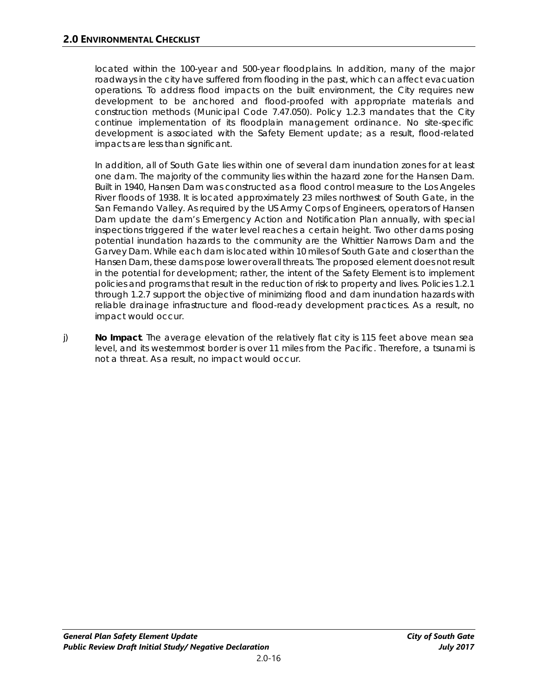located within the 100-year and 500-year floodplains. In addition, many of the major roadways in the city have suffered from flooding in the past, which can affect evacuation operations. To address flood impacts on the built environment, the City requires new development to be anchored and flood-proofed with appropriate materials and construction methods (Municipal Code 7.47.050). Policy 1.2.3 mandates that the City continue implementation of its floodplain management ordinance. No site-specific development is associated with the Safety Element update; as a result, flood-related impacts are less than significant.

In addition, all of South Gate lies within one of several dam inundation zones for at least one dam. The majority of the community lies within the hazard zone for the Hansen Dam. Built in 1940, Hansen Dam was constructed as a flood control measure to the Los Angeles River floods of 1938. It is located approximately 23 miles northwest of South Gate, in the San Fernando Valley. As required by the US Army Corps of Engineers, operators of Hansen Dam update the dam's Emergency Action and Notification Plan annually, with special inspections triggered if the water level reaches a certain height. Two other dams posing potential inundation hazards to the community are the Whittier Narrows Dam and the Garvey Dam. While each dam is located within 10 miles of South Gate and closer than the Hansen Dam, these dams pose lower overall threats. The proposed element does not result in the potential for development; rather, the intent of the Safety Element is to implement policies and programs that result in the reduction of risk to property and lives. Policies 1.2.1 through 1.2.7 support the objective of minimizing flood and dam inundation hazards with reliable drainage infrastructure and flood-ready development practices. As a result, no impact would occur.

j) **No Impact**. The average elevation of the relatively flat city is 115 feet above mean sea level, and its westernmost border is over 11 miles from the Pacific. Therefore, a tsunami is not a threat. As a result, no impact would occur.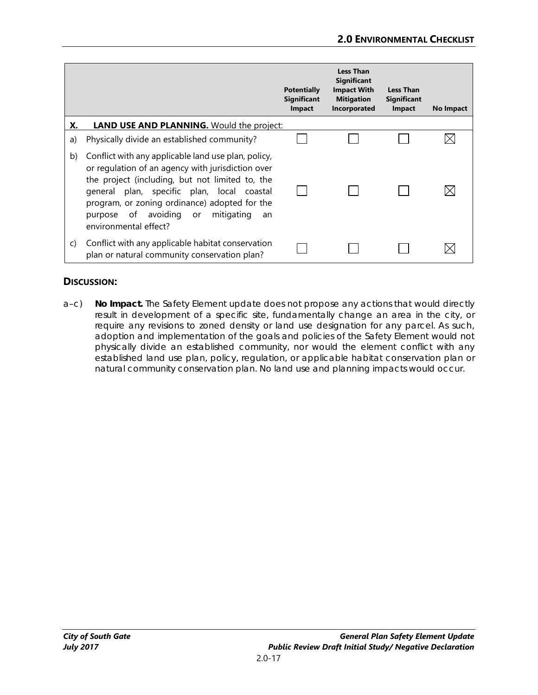|    |                                                                                                                                                                                                                                                                                                                                         | <b>Potentially</b><br><b>Significant</b><br><b>Impact</b> | <b>Less Than</b><br><b>Significant</b><br><b>Impact With</b><br><b>Mitigation</b><br>Incorporated | <b>Less Than</b><br><b>Significant</b><br><b>Impact</b> | No Impact |
|----|-----------------------------------------------------------------------------------------------------------------------------------------------------------------------------------------------------------------------------------------------------------------------------------------------------------------------------------------|-----------------------------------------------------------|---------------------------------------------------------------------------------------------------|---------------------------------------------------------|-----------|
| Х. | <b>LAND USE AND PLANNING.</b> Would the project:                                                                                                                                                                                                                                                                                        |                                                           |                                                                                                   |                                                         |           |
| a) | Physically divide an established community?                                                                                                                                                                                                                                                                                             |                                                           |                                                                                                   |                                                         |           |
| b) | Conflict with any applicable land use plan, policy,<br>or regulation of an agency with jurisdiction over<br>the project (including, but not limited to, the<br>general plan, specific plan, local coastal<br>program, or zoning ordinance) adopted for the<br>of avoiding<br>mitigating<br>or<br>purpose<br>an<br>environmental effect? |                                                           |                                                                                                   |                                                         |           |
| C) | Conflict with any applicable habitat conservation<br>plan or natural community conservation plan?                                                                                                                                                                                                                                       |                                                           |                                                                                                   |                                                         |           |

a–c) **No Impact.** The Safety Element update does not propose any actions that would directly result in development of a specific site, fundamentally change an area in the city, or require any revisions to zoned density or land use designation for any parcel. As such, adoption and implementation of the goals and policies of the Safety Element would not physically divide an established community, nor would the element conflict with any established land use plan, policy, regulation, or applicable habitat conservation plan or natural community conservation plan. No land use and planning impacts would occur.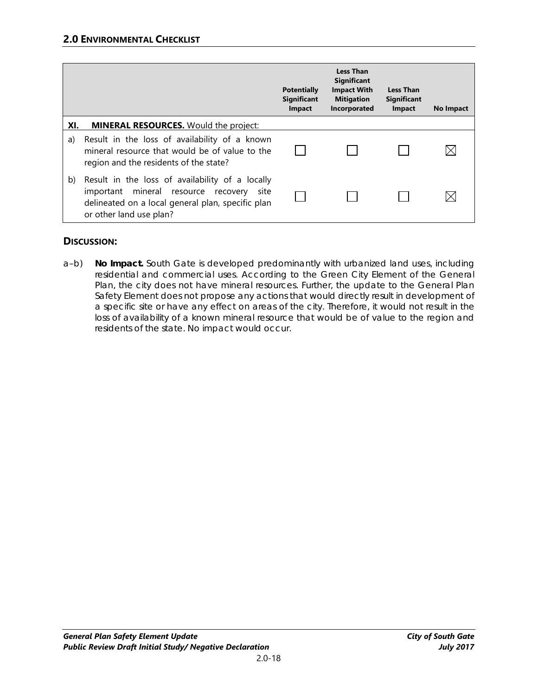|     |                                                                                                                                                                                | <b>Potentially</b><br><b>Significant</b><br>Impact | <b>Less Than</b><br><b>Significant</b><br><b>Impact With</b><br><b>Mitigation</b><br>Incorporated | <b>Less Than</b><br><b>Significant</b><br>Impact | No Impact |
|-----|--------------------------------------------------------------------------------------------------------------------------------------------------------------------------------|----------------------------------------------------|---------------------------------------------------------------------------------------------------|--------------------------------------------------|-----------|
| XI. | <b>MINERAL RESOURCES.</b> Would the project:                                                                                                                                   |                                                    |                                                                                                   |                                                  |           |
| a)  | Result in the loss of availability of a known<br>mineral resource that would be of value to the<br>region and the residents of the state?                                      |                                                    |                                                                                                   |                                                  |           |
| b)  | Result in the loss of availability of a locally<br>important mineral resource recovery<br>site<br>delineated on a local general plan, specific plan<br>or other land use plan? |                                                    |                                                                                                   |                                                  |           |

a–b) **No Impact.** South Gate is developed predominantly with urbanized land uses, including residential and commercial uses. According to the Green City Element of the General Plan, the city does not have mineral resources. Further, the update to the General Plan Safety Element does not propose any actions that would directly result in development of a specific site or have any effect on areas of the city. Therefore, it would not result in the loss of availability of a known mineral resource that would be of value to the region and residents of the state. No impact would occur.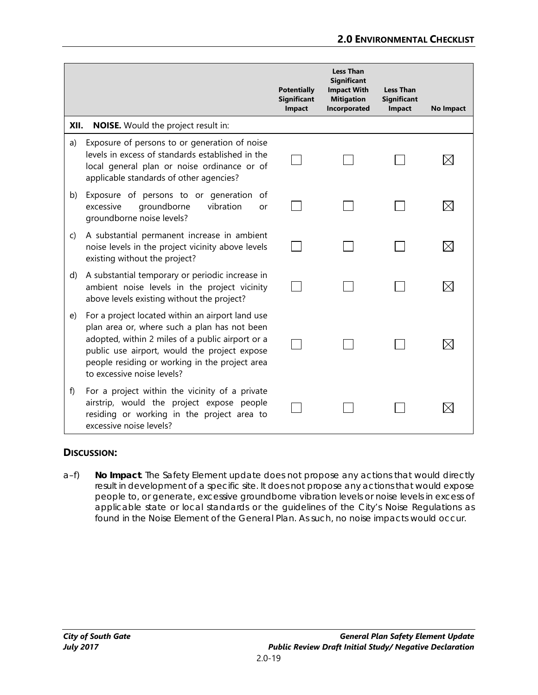|      |                                                                                                                                                                                                                                                                                      | <b>Potentially</b><br><b>Significant</b><br>Impact | <b>Less Than</b><br><b>Significant</b><br><b>Impact With</b><br><b>Mitigation</b><br>Incorporated | <b>Less Than</b><br><b>Significant</b><br>Impact | <b>No Impact</b> |
|------|--------------------------------------------------------------------------------------------------------------------------------------------------------------------------------------------------------------------------------------------------------------------------------------|----------------------------------------------------|---------------------------------------------------------------------------------------------------|--------------------------------------------------|------------------|
| XII. | <b>NOISE.</b> Would the project result in:                                                                                                                                                                                                                                           |                                                    |                                                                                                   |                                                  |                  |
| a)   | Exposure of persons to or generation of noise<br>levels in excess of standards established in the<br>local general plan or noise ordinance or of<br>applicable standards of other agencies?                                                                                          |                                                    |                                                                                                   |                                                  | $\times$         |
| b)   | Exposure of persons to or generation of<br>excessive<br>groundborne<br>vibration<br>or<br>groundborne noise levels?                                                                                                                                                                  |                                                    |                                                                                                   |                                                  | $\boxtimes$      |
| C)   | A substantial permanent increase in ambient<br>noise levels in the project vicinity above levels<br>existing without the project?                                                                                                                                                    |                                                    |                                                                                                   |                                                  | $\boxtimes$      |
| d)   | A substantial temporary or periodic increase in<br>ambient noise levels in the project vicinity<br>above levels existing without the project?                                                                                                                                        |                                                    |                                                                                                   |                                                  | $\boxtimes$      |
| e)   | For a project located within an airport land use<br>plan area or, where such a plan has not been<br>adopted, within 2 miles of a public airport or a<br>public use airport, would the project expose<br>people residing or working in the project area<br>to excessive noise levels? |                                                    |                                                                                                   |                                                  |                  |
| f)   | For a project within the vicinity of a private<br>airstrip, would the project expose people<br>residing or working in the project area to<br>excessive noise levels?                                                                                                                 |                                                    |                                                                                                   |                                                  |                  |

a–f) **No Impact**. The Safety Element update does not propose any actions that would directly result in development of a specific site. It does not propose any actions that would expose people to, or generate, excessive groundborne vibration levels or noise levels in excess of applicable state or local standards or the guidelines of the City's Noise Regulations as found in the Noise Element of the General Plan. As such, no noise impacts would occur.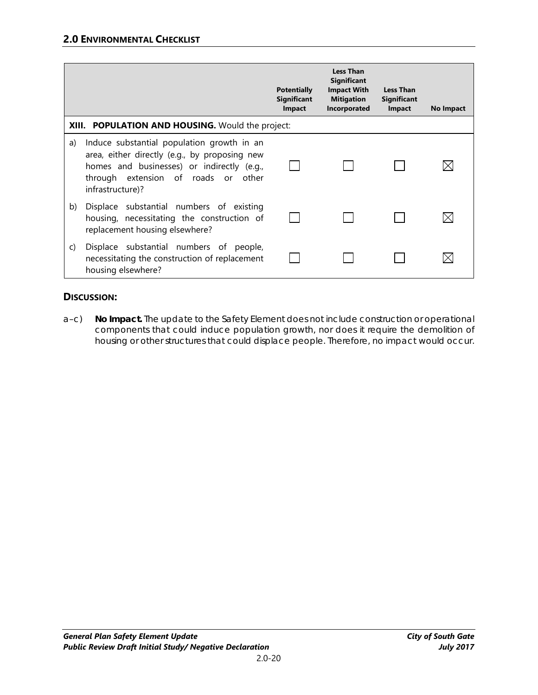|    |                                                                                                                                                                                                      | <b>Potentially</b><br><b>Significant</b><br><b>Impact</b> | <b>Less Than</b><br><b>Significant</b><br><b>Impact With</b><br><b>Mitigation</b><br>Incorporated | <b>Less Than</b><br><b>Significant</b><br>Impact | No Impact |
|----|------------------------------------------------------------------------------------------------------------------------------------------------------------------------------------------------------|-----------------------------------------------------------|---------------------------------------------------------------------------------------------------|--------------------------------------------------|-----------|
|    | XIII. POPULATION AND HOUSING. Would the project:                                                                                                                                                     |                                                           |                                                                                                   |                                                  |           |
| a) | Induce substantial population growth in an<br>area, either directly (e.g., by proposing new<br>homes and businesses) or indirectly (e.g.,<br>through extension of roads or other<br>infrastructure)? |                                                           |                                                                                                   |                                                  |           |
| b) | Displace substantial numbers of existing<br>housing, necessitating the construction of<br>replacement housing elsewhere?                                                                             |                                                           |                                                                                                   |                                                  |           |
| C) | Displace substantial numbers of people,<br>necessitating the construction of replacement<br>housing elsewhere?                                                                                       |                                                           |                                                                                                   |                                                  |           |

a–c) **No Impact.** The update to the Safety Element does not include construction or operational components that could induce population growth, nor does it require the demolition of housing or other structures that could displace people. Therefore, no impact would occur.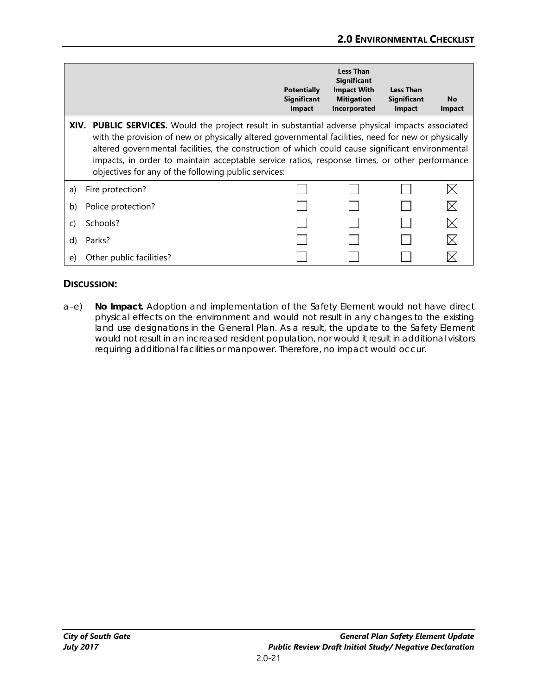|    |                                                                                                                                                                                                                                                                                                                                                                                                                                                                       | <b>Potentially</b><br><b>Significant</b><br><b>Impact</b> | <b>Less Than</b><br><b>Significant</b><br><b>Impact With</b><br><b>Mitigation</b><br>Incorporated | <b>Less Than</b><br><b>Significant</b><br>Impact | No<br><b>Impact</b> |
|----|-----------------------------------------------------------------------------------------------------------------------------------------------------------------------------------------------------------------------------------------------------------------------------------------------------------------------------------------------------------------------------------------------------------------------------------------------------------------------|-----------------------------------------------------------|---------------------------------------------------------------------------------------------------|--------------------------------------------------|---------------------|
|    | XIV. PUBLIC SERVICES. Would the project result in substantial adverse physical impacts associated<br>with the provision of new or physically altered governmental facilities, need for new or physically<br>altered governmental facilities, the construction of which could cause significant environmental<br>impacts, in order to maintain acceptable service ratios, response times, or other performance<br>objectives for any of the following public services: |                                                           |                                                                                                   |                                                  |                     |
| a) | Fire protection?                                                                                                                                                                                                                                                                                                                                                                                                                                                      |                                                           |                                                                                                   |                                                  |                     |
| b) | Police protection?                                                                                                                                                                                                                                                                                                                                                                                                                                                    |                                                           |                                                                                                   |                                                  |                     |
| C) | Schools?                                                                                                                                                                                                                                                                                                                                                                                                                                                              |                                                           |                                                                                                   |                                                  |                     |
| d) | Parks?                                                                                                                                                                                                                                                                                                                                                                                                                                                                |                                                           |                                                                                                   |                                                  |                     |
| e) | Other public facilities?                                                                                                                                                                                                                                                                                                                                                                                                                                              |                                                           |                                                                                                   |                                                  |                     |

a–e) **No Impact.** Adoption and implementation of the Safety Element would not have direct physical effects on the environment and would not result in any changes to the existing land use designations in the General Plan. As a result, the update to the Safety Element would not result in an increased resident population, nor would it result in additional visitors requiring additional facilities or manpower. Therefore, no impact would occur.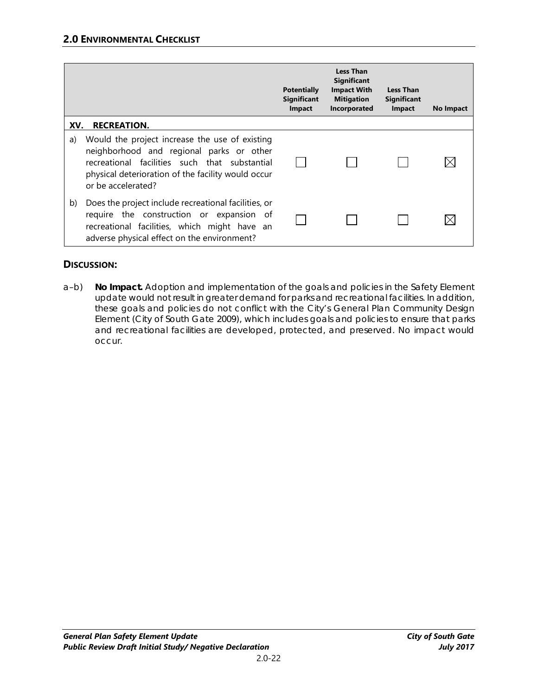|                                                                                                                                                                                                                               | <b>Potentially</b><br><b>Significant</b><br><b>Impact</b> | <b>Less Than</b><br><b>Significant</b><br><b>Impact With</b><br><b>Mitigation</b><br>Incorporated | <b>Less Than</b><br><b>Significant</b><br><b>Impact</b> | No Impact |
|-------------------------------------------------------------------------------------------------------------------------------------------------------------------------------------------------------------------------------|-----------------------------------------------------------|---------------------------------------------------------------------------------------------------|---------------------------------------------------------|-----------|
| XV.<br><b>RECREATION.</b>                                                                                                                                                                                                     |                                                           |                                                                                                   |                                                         |           |
| Would the project increase the use of existing<br>a)<br>neighborhood and regional parks or other<br>recreational facilities such that substantial<br>physical deterioration of the facility would occur<br>or be accelerated? |                                                           |                                                                                                   |                                                         |           |
| Does the project include recreational facilities, or<br>b)<br>require the construction or expansion of<br>recreational facilities, which might have an<br>adverse physical effect on the environment?                         |                                                           |                                                                                                   |                                                         |           |

a–b) **No Impact.** Adoption and implementation of the goals and policies in the Safety Element update would not result in greater demand for parks and recreational facilities. In addition, these goals and policies do not conflict with the City's General Plan Community Design Element (City of South Gate 2009), which includes goals and policies to ensure that parks and recreational facilities are developed, protected, and preserved. No impact would occur.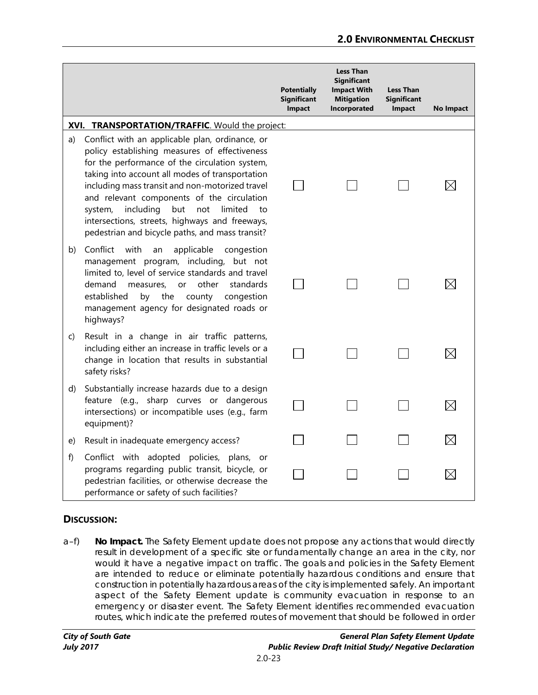|    |                                                                                                                                                                                                                                                                                                                                                                                                                                                                                                                       | <b>Potentially</b><br><b>Significant</b><br>Impact | <b>Less Than</b><br><b>Significant</b><br><b>Impact With</b><br><b>Mitigation</b><br>Incorporated | <b>Less Than</b><br><b>Significant</b><br>Impact | No Impact   |
|----|-----------------------------------------------------------------------------------------------------------------------------------------------------------------------------------------------------------------------------------------------------------------------------------------------------------------------------------------------------------------------------------------------------------------------------------------------------------------------------------------------------------------------|----------------------------------------------------|---------------------------------------------------------------------------------------------------|--------------------------------------------------|-------------|
| a) | XVI. TRANSPORTATION/TRAFFIC. Would the project:<br>Conflict with an applicable plan, ordinance, or<br>policy establishing measures of effectiveness<br>for the performance of the circulation system,<br>taking into account all modes of transportation<br>including mass transit and non-motorized travel<br>and relevant components of the circulation<br>including<br>but<br>system,<br>not<br>limited<br>to<br>intersections, streets, highways and freeways,<br>pedestrian and bicycle paths, and mass transit? |                                                    |                                                                                                   |                                                  |             |
| b) | Conflict<br>with<br>an<br>applicable<br>congestion<br>management program, including, but not<br>limited to, level of service standards and travel<br>demand<br>other<br>standards<br>measures,<br>$\alpha$ r<br>established<br>by<br>the<br>county<br>congestion<br>management agency for designated roads or<br>highways?                                                                                                                                                                                            |                                                    |                                                                                                   |                                                  |             |
| C) | Result in a change in air traffic patterns,<br>including either an increase in traffic levels or a<br>change in location that results in substantial<br>safety risks?                                                                                                                                                                                                                                                                                                                                                 |                                                    |                                                                                                   |                                                  | $\boxtimes$ |
| d) | Substantially increase hazards due to a design<br>feature (e.g., sharp curves or dangerous<br>intersections) or incompatible uses (e.g., farm<br>equipment)?                                                                                                                                                                                                                                                                                                                                                          |                                                    |                                                                                                   |                                                  |             |
| e) | Result in inadequate emergency access?                                                                                                                                                                                                                                                                                                                                                                                                                                                                                |                                                    |                                                                                                   |                                                  |             |
| f  | Conflict with adopted policies, plans, or<br>programs regarding public transit, bicycle, or<br>pedestrian facilities, or otherwise decrease the<br>performance or safety of such facilities?                                                                                                                                                                                                                                                                                                                          |                                                    |                                                                                                   |                                                  |             |

a–f) **No Impact.** The Safety Element update does not propose any actions that would directly result in development of a specific site or fundamentally change an area in the city, nor would it have a negative impact on traffic. The goals and policies in the Safety Element are intended to reduce or eliminate potentially hazardous conditions and ensure that construction in potentially hazardous areas of the city is implemented safely. An important aspect of the Safety Element update is community evacuation in response to an emergency or disaster event. The Safety Element identifies recommended evacuation routes, which indicate the preferred routes of movement that should be followed in order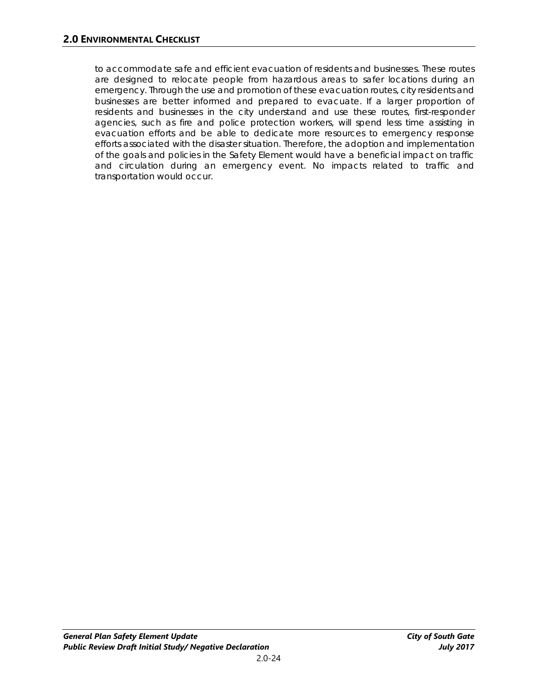to accommodate safe and efficient evacuation of residents and businesses. These routes are designed to relocate people from hazardous areas to safer locations during an emergency. Through the use and promotion of these evacuation routes, city residents and businesses are better informed and prepared to evacuate. If a larger proportion of residents and businesses in the city understand and use these routes, first-responder agencies, such as fire and police protection workers, will spend less time assisting in evacuation efforts and be able to dedicate more resources to emergency response efforts associated with the disaster situation. Therefore, the adoption and implementation of the goals and policies in the Safety Element would have a beneficial impact on traffic and circulation during an emergency event. No impacts related to traffic and transportation would occur.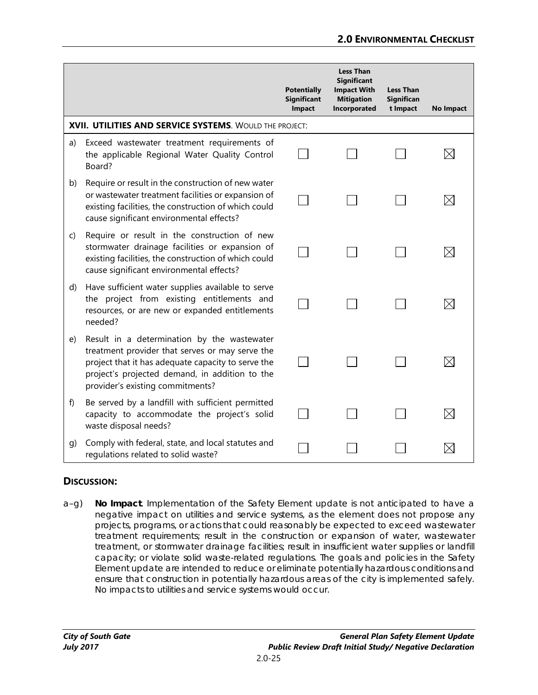|    |                                                                                                                                                                                                                                            | <b>Potentially</b><br><b>Significant</b><br>Impact | <b>Less Than</b><br><b>Significant</b><br><b>Impact With</b><br><b>Mitigation</b><br>Incorporated | <b>Less Than</b><br><b>Significan</b><br>t Impact | <b>No Impact</b> |
|----|--------------------------------------------------------------------------------------------------------------------------------------------------------------------------------------------------------------------------------------------|----------------------------------------------------|---------------------------------------------------------------------------------------------------|---------------------------------------------------|------------------|
|    | XVII. UTILITIES AND SERVICE SYSTEMS. WOULD THE PROJECT:                                                                                                                                                                                    |                                                    |                                                                                                   |                                                   |                  |
| a) | Exceed wastewater treatment requirements of<br>the applicable Regional Water Quality Control<br>Board?                                                                                                                                     |                                                    |                                                                                                   |                                                   | $\boxtimes$      |
| b) | Require or result in the construction of new water<br>or wastewater treatment facilities or expansion of<br>existing facilities, the construction of which could<br>cause significant environmental effects?                               |                                                    |                                                                                                   |                                                   | $\boxtimes$      |
| C) | Require or result in the construction of new<br>stormwater drainage facilities or expansion of<br>existing facilities, the construction of which could<br>cause significant environmental effects?                                         |                                                    |                                                                                                   |                                                   | $\times$         |
| d) | Have sufficient water supplies available to serve<br>the project from existing entitlements and<br>resources, or are new or expanded entitlements<br>needed?                                                                               |                                                    |                                                                                                   |                                                   | $\boxtimes$      |
| e) | Result in a determination by the wastewater<br>treatment provider that serves or may serve the<br>project that it has adequate capacity to serve the<br>project's projected demand, in addition to the<br>provider's existing commitments? |                                                    |                                                                                                   |                                                   | $\boxtimes$      |
| f  | Be served by a landfill with sufficient permitted<br>capacity to accommodate the project's solid<br>waste disposal needs?                                                                                                                  |                                                    |                                                                                                   |                                                   | $\times$         |
| g) | Comply with federal, state, and local statutes and<br>regulations related to solid waste?                                                                                                                                                  |                                                    |                                                                                                   |                                                   |                  |

a–g) **No Impact**. Implementation of the Safety Element update is not anticipated to have a negative impact on utilities and service systems, as the element does not propose any projects, programs, or actions that could reasonably be expected to exceed wastewater treatment requirements; result in the construction or expansion of water, wastewater treatment, or stormwater drainage facilities; result in insufficient water supplies or landfill capacity; or violate solid waste-related regulations. The goals and policies in the Safety Element update are intended to reduce or eliminate potentially hazardous conditions and ensure that construction in potentially hazardous areas of the city is implemented safely. No impacts to utilities and service systems would occur.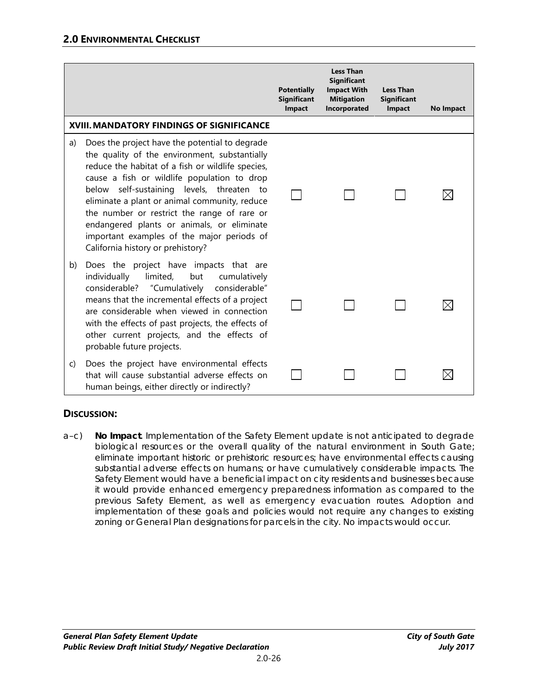|    |                                                                                                                                                                                                                                                                                                                                                                                                                                                                                      | <b>Potentially</b><br><b>Significant</b><br>Impact | <b>Less Than</b><br><b>Significant</b><br><b>Impact With</b><br><b>Mitigation</b><br>Incorporated | <b>Less Than</b><br><b>Significant</b><br>Impact | <b>No Impact</b> |
|----|--------------------------------------------------------------------------------------------------------------------------------------------------------------------------------------------------------------------------------------------------------------------------------------------------------------------------------------------------------------------------------------------------------------------------------------------------------------------------------------|----------------------------------------------------|---------------------------------------------------------------------------------------------------|--------------------------------------------------|------------------|
|    | <b>XVIII. MANDATORY FINDINGS OF SIGNIFICANCE</b>                                                                                                                                                                                                                                                                                                                                                                                                                                     |                                                    |                                                                                                   |                                                  |                  |
| a) | Does the project have the potential to degrade<br>the quality of the environment, substantially<br>reduce the habitat of a fish or wildlife species,<br>cause a fish or wildlife population to drop<br>self-sustaining levels, threaten to<br>below<br>eliminate a plant or animal community, reduce<br>the number or restrict the range of rare or<br>endangered plants or animals, or eliminate<br>important examples of the major periods of<br>California history or prehistory? |                                                    |                                                                                                   |                                                  |                  |
| b) | Does the project have impacts that are<br>limited,<br>individually<br>but<br>cumulatively<br>"Cumulatively<br>considerable?<br>considerable"<br>means that the incremental effects of a project<br>are considerable when viewed in connection<br>with the effects of past projects, the effects of<br>other current projects, and the effects of<br>probable future projects.                                                                                                        |                                                    |                                                                                                   |                                                  |                  |
| C) | Does the project have environmental effects<br>that will cause substantial adverse effects on<br>human beings, either directly or indirectly?                                                                                                                                                                                                                                                                                                                                        |                                                    |                                                                                                   |                                                  |                  |

a–c) **No Impact**. Implementation of the Safety Element update is not anticipated to degrade biological resources or the overall quality of the natural environment in South Gate; eliminate important historic or prehistoric resources; have environmental effects causing substantial adverse effects on humans; or have cumulatively considerable impacts. The Safety Element would have a beneficial impact on city residents and businesses because it would provide enhanced emergency preparedness information as compared to the previous Safety Element, as well as emergency evacuation routes. Adoption and implementation of these goals and policies would not require any changes to existing zoning or General Plan designations for parcels in the city. No impacts would occur.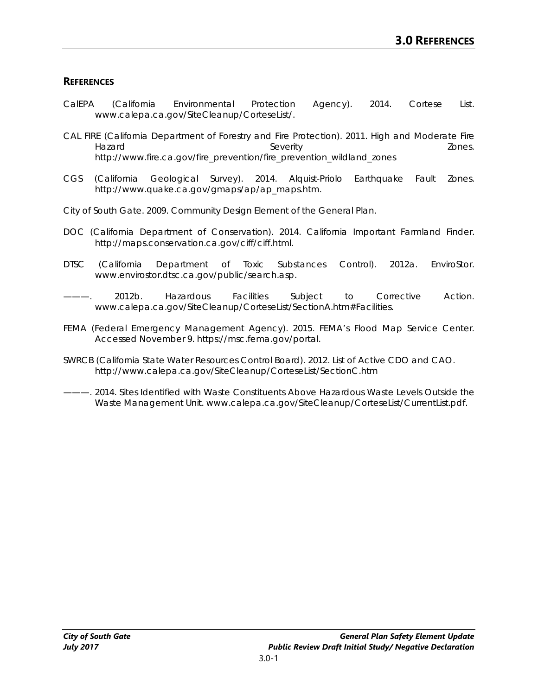# <span id="page-38-0"></span>**REFERENCES**

- CalEPA (California Environmental Protection Agency). 2014. Cortese List. www.calepa.ca.gov/SiteCleanup/CorteseList/.
- CAL FIRE (California Department of Forestry and Fire Protection). 2011. High and Moderate Fire Hazard Severity Zones. http://www.fire.ca.gov/fire\_prevention/fire\_prevention\_wildland\_zones
- CGS (California Geological Survey). 2014. Alquist-Priolo Earthquake Fault Zones. http://www.quake.ca.gov/gmaps/ap/ap\_maps.htm.
- City of South Gate. 2009. *Community Design Element of the General Plan*.
- DOC (California Department of Conservation). 2014. California Important Farmland Finder. http://maps.conservation.ca.gov/ciff/ciff.html.
- DTSC (California Department of Toxic Substances Control). 2012a. EnviroStor. www.envirostor.dtsc.ca.gov/public/search.asp.
- ———. 2012b. Hazardous Facilities Subject to Corrective Action. www.calepa.ca.gov/SiteCleanup/CorteseList/SectionA.htm#Facilities.
- FEMA (Federal Emergency Management Agency). 2015. FEMA's Flood Map Service Center. Accessed November 9. https://msc.fema.gov/portal.
- SWRCB (California State Water Resources Control Board). 2012. List of Active CDO and CAO. http://www.calepa.ca.gov/SiteCleanup/CorteseList/SectionC.htm
- ———. 2014. Sites Identified with Waste Constituents Above Hazardous Waste Levels Outside the Waste Management Unit. www.calepa.ca.gov/SiteCleanup/CorteseList/CurrentList.pdf.